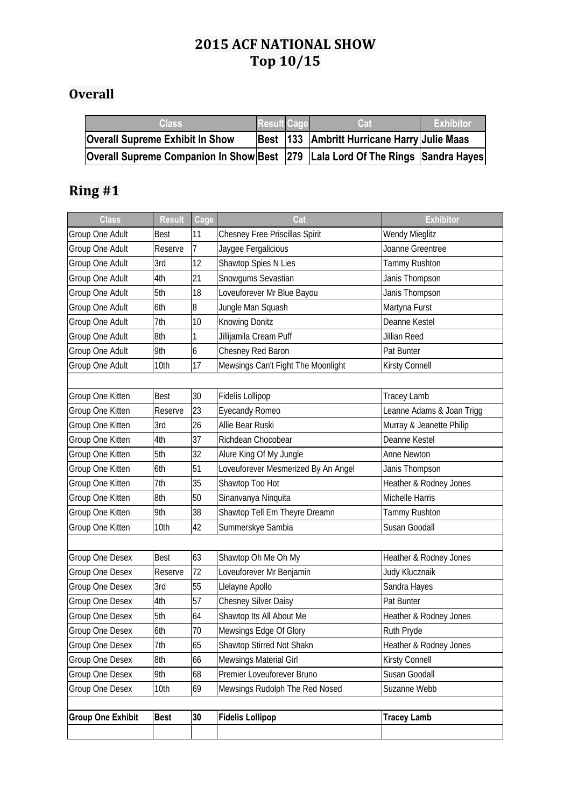## **2015 ACF NATIONAL SHOW Top 10/15**

## **Overall**

| Class                                                                          | Result Cage | Cat                                         | ⊦Exhibitor |
|--------------------------------------------------------------------------------|-------------|---------------------------------------------|------------|
| <b>Overall Supreme Exhibit In Show</b>                                         |             | Best 133 Ambritt Hurricane Harry Julie Maas |            |
| Overall Supreme Companion In Show Best 279 Lala Lord Of The Rings Sandra Hayes |             |                                             |            |

| <b>Class</b>             | <b>Result</b> | Cage | Cat                                 | <b>Exhibitor</b>          |
|--------------------------|---------------|------|-------------------------------------|---------------------------|
| Group One Adult          | <b>Best</b>   | 11   | Chesney Free Priscillas Spirit      | <b>Wendy Mieglitz</b>     |
| Group One Adult          | Reserve       | 7    | Jaygee Fergalicious                 | Joanne Greentree          |
| Group One Adult          | 3rd           | 12   | Shawtop Spies N Lies                | <b>Tammy Rushton</b>      |
| Group One Adult          | 4th           | 21   | Snowgums Sevastian                  | Janis Thompson            |
| Group One Adult          | 5th           | 18   | Loveuforever Mr Blue Bayou          | Janis Thompson            |
| Group One Adult          | 6th           | 8    | Jungle Man Squash                   | Martyna Furst             |
| Group One Adult          | 7th           | 10   | Knowing Donitz                      | Deanne Kestel             |
| Group One Adult          | 8th           | 1    | Jillijamila Cream Puff              | Jillian Reed              |
| Group One Adult          | 9th           | 6    | Chesney Red Baron                   | Pat Bunter                |
| Group One Adult          | 10th          | 17   | Mewsings Can't Fight The Moonlight  | Kirsty Connell            |
|                          |               |      |                                     |                           |
| Group One Kitten         | Best          | 30   | Fidelis Lollipop                    | <b>Tracey Lamb</b>        |
| Group One Kitten         | Reserve       | 23   | Eyecandy Romeo                      | Leanne Adams & Joan Trigg |
| Group One Kitten         | 3rd           | 26   | Allie Bear Ruski                    | Murray & Jeanette Philip  |
| Group One Kitten         | 4th           | 37   | Richdean Chocobear                  | Deanne Kestel             |
| Group One Kitten         | 5th           | 32   | Alure King Of My Jungle             | <b>Anne Newton</b>        |
| Group One Kitten         | 6th           | 51   | Loveuforever Mesmerized By An Angel | Janis Thompson            |
| Group One Kitten         | 7th           | 35   | Shawtop Too Hot                     | Heather & Rodney Jones    |
| Group One Kitten         | 8th           | 50   | Sinanvanya Ninquita                 | Michelle Harris           |
| Group One Kitten         | 9th           | 38   | Shawtop Tell Em Theyre Dreamn       | Tammy Rushton             |
| Group One Kitten         | 10th          | 42   | Summerskye Sambia                   | Susan Goodall             |
|                          |               |      |                                     |                           |
| Group One Desex          | <b>Best</b>   | 63   | Shawtop Oh Me Oh My                 | Heather & Rodney Jones    |
| Group One Desex          | Reserve       | 72   | Loveuforever Mr Benjamin            | Judy Klucznaik            |
| Group One Desex          | 3rd           | 55   | Llelayne Apollo                     | Sandra Hayes              |
| Group One Desex          | 4th           | 57   | <b>Chesney Silver Daisy</b>         | Pat Bunter                |
| Group One Desex          | 5th           | 64   | Shawtop Its All About Me            | Heather & Rodney Jones    |
| Group One Desex          | 6th           | 70   | Mewsings Edge Of Glory              | Ruth Pryde                |
| Group One Desex          | 7th           | 65   | Shawtop Stirred Not Shakn           | Heather & Rodney Jones    |
| Group One Desex          | 8th           | 66   | Mewsings Material Girl              | Kirsty Connell            |
| Group One Desex          | 9th           | 68   | Premier Loveuforever Bruno          | Susan Goodall             |
| Group One Desex          | 10th          | 69   | Mewsings Rudolph The Red Nosed      | Suzanne Webb              |
|                          |               |      |                                     |                           |
| <b>Group One Exhibit</b> | <b>Best</b>   | 30   | <b>Fidelis Lollipop</b>             | <b>Tracey Lamb</b>        |
|                          |               |      |                                     |                           |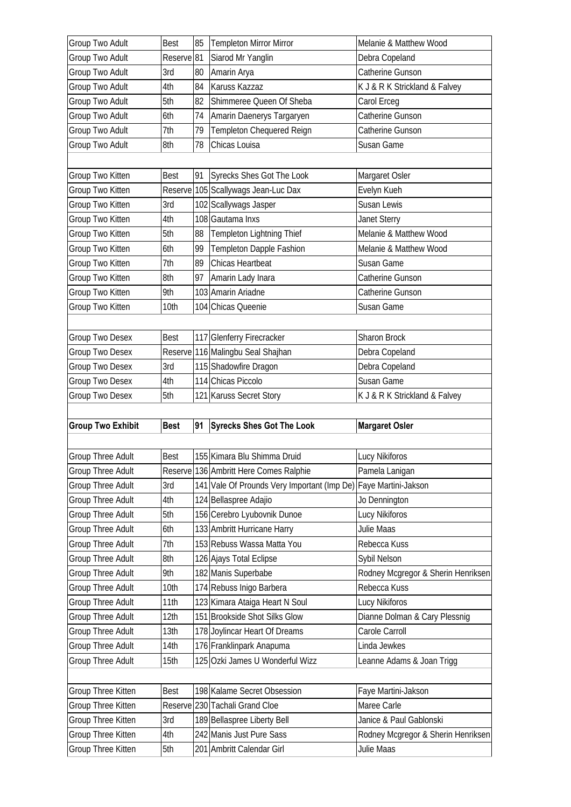| Group Two Adult                                                    | Best                  | 85 | <b>Templeton Mirror Mirror</b>                                  | Melanie & Matthew Wood                           |
|--------------------------------------------------------------------|-----------------------|----|-----------------------------------------------------------------|--------------------------------------------------|
| Group Two Adult                                                    | Reserve <sup>81</sup> |    | Siarod Mr Yanglin                                               | Debra Copeland                                   |
| Group Two Adult                                                    | 3rd                   | 80 | Amarin Arya                                                     | Catherine Gunson                                 |
| Group Two Adult                                                    | 4th                   | 84 | Karuss Kazzaz                                                   | K J & R K Strickland & Falvey                    |
| Group Two Adult                                                    | 5th                   | 82 | Shimmeree Queen Of Sheba                                        | Carol Erceg                                      |
| Group Two Adult                                                    | 6th                   | 74 | Amarin Daenerys Targaryen                                       | Catherine Gunson                                 |
| Group Two Adult                                                    | 7th                   | 79 | Templeton Chequered Reign                                       | Catherine Gunson                                 |
| Group Two Adult                                                    | 8th                   | 78 | Chicas Louisa                                                   | Susan Game                                       |
|                                                                    |                       |    |                                                                 |                                                  |
| Group Two Kitten                                                   | Best                  | 91 | Syrecks Shes Got The Look                                       | Margaret Osler                                   |
| Group Two Kitten                                                   |                       |    | Reserve 105 Scallywags Jean-Luc Dax                             | Evelyn Kueh                                      |
| Group Two Kitten                                                   | 3rd                   |    | 102 Scallywags Jasper                                           | Susan Lewis                                      |
| Group Two Kitten                                                   | 4th                   |    | 108 Gautama Inxs                                                | Janet Sterry                                     |
| Group Two Kitten                                                   | 5th                   | 88 | Templeton Lightning Thief                                       | Melanie & Matthew Wood                           |
| Group Two Kitten                                                   | 6th                   | 99 | Templeton Dapple Fashion                                        | Melanie & Matthew Wood                           |
| Group Two Kitten                                                   | 7th                   | 89 | <b>Chicas Heartbeat</b>                                         | Susan Game                                       |
| Group Two Kitten                                                   | 8th                   | 97 | Amarin Lady Inara                                               | Catherine Gunson                                 |
| Group Two Kitten                                                   | 9th                   |    | 103 Amarin Ariadne                                              | Catherine Gunson                                 |
| Group Two Kitten                                                   | 10th                  |    | 104 Chicas Queenie                                              | Susan Game                                       |
|                                                                    |                       |    |                                                                 |                                                  |
| Group Two Desex                                                    | <b>Best</b>           |    | 117 Glenferry Firecracker                                       | Sharon Brock                                     |
| Group Two Desex                                                    |                       |    | Reserve 116 Malingbu Seal Shajhan                               | Debra Copeland                                   |
| Group Two Desex                                                    | 3rd                   |    | 115 Shadowfire Dragon                                           | Debra Copeland                                   |
|                                                                    |                       |    |                                                                 |                                                  |
|                                                                    |                       |    |                                                                 |                                                  |
| Group Two Desex                                                    | 4th                   |    | 114 Chicas Piccolo                                              | Susan Game                                       |
| Group Two Desex                                                    | 5th                   |    | 121 Karuss Secret Story                                         | K J & R K Strickland & Falvey                    |
|                                                                    |                       |    |                                                                 |                                                  |
|                                                                    | <b>Best</b>           | 91 | <b>Syrecks Shes Got The Look</b>                                | <b>Margaret Osler</b>                            |
|                                                                    |                       |    |                                                                 |                                                  |
|                                                                    | <b>Best</b>           |    | 155 Kimara Blu Shimma Druid                                     | Lucy Nikiforos                                   |
|                                                                    |                       |    | Reserve 136 Ambritt Here Comes Ralphie                          | Pamela Lanigan                                   |
| Group Three Adult                                                  | 3rd                   |    | 141 Vale Of Prounds Very Important (Imp De) Faye Martini-Jakson |                                                  |
| Group Three Adult                                                  | 4th                   |    | 124 Bellaspree Adajio                                           | Jo Dennington                                    |
| <b>Group Three Adult</b>                                           | 5th                   |    | 156 Cerebro Lyubovnik Dunoe                                     | Lucy Nikiforos                                   |
| Group Three Adult                                                  | 6th                   |    | 133 Ambritt Hurricane Harry                                     | Julie Maas                                       |
| Group Three Adult                                                  | 7th                   |    | 153 Rebuss Wassa Matta You                                      | Rebecca Kuss                                     |
| Group Three Adult                                                  | 8th                   |    | 126 Ajays Total Eclipse                                         | Sybil Nelson                                     |
| Group Three Adult                                                  | 9th                   |    | 182 Manis Superbabe                                             | Rodney Mcgregor & Sherin Henriksen               |
| Group Three Adult                                                  | 10th                  |    | 174 Rebuss Inigo Barbera                                        | Rebecca Kuss                                     |
| <b>Group Three Adult</b><br>Group Three Adult<br>Group Three Adult | 11th                  |    | 123 Kimara Ataiga Heart N Soul                                  | Lucy Nikiforos                                   |
| Group Three Adult                                                  | 12th                  |    | 151 Brookside Shot Silks Glow                                   | Dianne Dolman & Cary Plessnig                    |
| Group Three Adult                                                  | 13th                  |    | 178 Joylincar Heart Of Dreams                                   | Carole Carroll                                   |
| Group Three Adult                                                  | 14th                  |    | 176 Franklinpark Anapuma                                        | Linda Jewkes                                     |
| Group Three Adult                                                  | 15th                  |    | 125 Ozki James U Wonderful Wizz                                 | Leanne Adams & Joan Trigg                        |
|                                                                    |                       |    |                                                                 |                                                  |
| Group Three Kitten                                                 | Best                  |    | 198 Kalame Secret Obsession                                     | Faye Martini-Jakson                              |
| Group Three Kitten                                                 |                       |    | Reserve 230 Tachali Grand Cloe                                  | Maree Carle                                      |
| <b>Group Two Exhibit</b><br>Group Three Kitten                     | 3rd                   |    | 189 Bellaspree Liberty Bell                                     | Janice & Paul Gablonski                          |
| Group Three Kitten<br>Group Three Kitten                           | 4th<br>5th            |    | 242 Manis Just Pure Sass<br>201 Ambritt Calendar Girl           | Rodney Mcgregor & Sherin Henriksen<br>Julie Maas |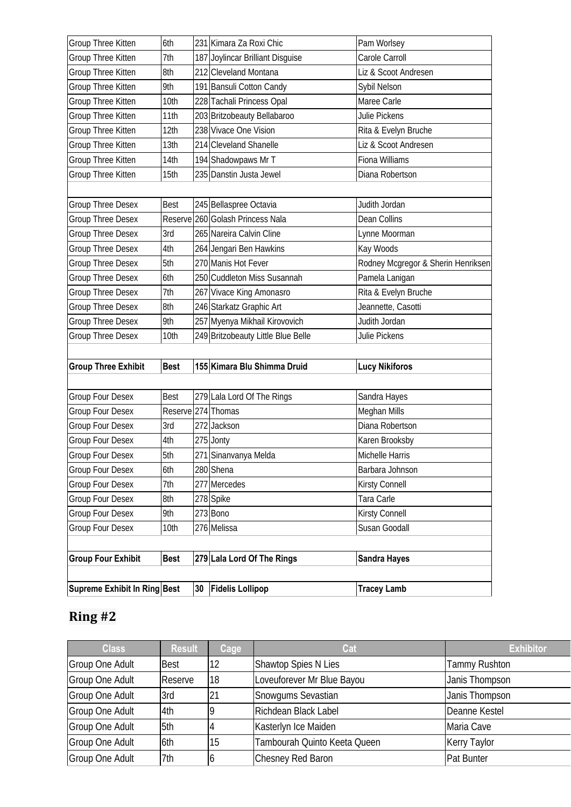| Group Three Kitten           | 6th                | 231 Kimara Za Roxi Chic            | Pam Worlsey                        |
|------------------------------|--------------------|------------------------------------|------------------------------------|
| Group Three Kitten           | 7th                | 187 Joylincar Brilliant Disguise   | Carole Carroll                     |
| Group Three Kitten           | 8th                | 212 Cleveland Montana              | Liz & Scoot Andresen               |
| Group Three Kitten           | 9th                | 191 Bansuli Cotton Candy           | Sybil Nelson                       |
| Group Three Kitten           | 10th               | 228 Tachali Princess Opal          | Maree Carle                        |
| Group Three Kitten           | 11th               | 203 Britzobeauty Bellabaroo        | Julie Pickens                      |
| Group Three Kitten           | 12th               | 238 Vivace One Vision              | Rita & Evelyn Bruche               |
| Group Three Kitten           | 13th               | 214 Cleveland Shanelle             | Liz & Scoot Andresen               |
| Group Three Kitten           | 14th               | 194 Shadowpaws Mr T                | Fiona Williams                     |
| Group Three Kitten           | 15th               | 235 Danstin Justa Jewel            | Diana Robertson                    |
|                              |                    |                                    |                                    |
| Group Three Desex            | <b>Best</b>        | 245 Bellaspree Octavia             | Judith Jordan                      |
| <b>Group Three Desex</b>     |                    | Reserve 260 Golash Princess Nala   | Dean Collins                       |
| Group Three Desex            | 3rd                | 265 Nareira Calvin Cline           | Lynne Moorman                      |
| <b>Group Three Desex</b>     | 4th                | 264 Jengari Ben Hawkins            | Kay Woods                          |
| <b>Group Three Desex</b>     | 5th                | 270 Manis Hot Fever                | Rodney Mcgregor & Sherin Henriksen |
| <b>Group Three Desex</b>     | 6th                | 250 Cuddleton Miss Susannah        | Pamela Lanigan                     |
| <b>Group Three Desex</b>     | 7th                | 267 Vivace King Amonasro           | Rita & Evelyn Bruche               |
| Group Three Desex            | 8th                | 246 Starkatz Graphic Art           | Jeannette, Casotti                 |
| <b>Group Three Desex</b>     | 9th                | 257 Myenya Mikhail Kirovovich      | Judith Jordan                      |
| <b>Group Three Desex</b>     | 10th               | 249 Britzobeauty Little Blue Belle | Julie Pickens                      |
|                              |                    |                                    |                                    |
| <b>Group Three Exhibit</b>   | <b>Best</b>        | 155 Kimara Blu Shimma Druid        | <b>Lucy Nikiforos</b>              |
|                              |                    |                                    |                                    |
| <b>Group Four Desex</b>      | <b>Best</b>        | 279 Lala Lord Of The Rings         | Sandra Hayes                       |
| Group Four Desex             | Reserve 274 Thomas |                                    | Meghan Mills                       |
| Group Four Desex             | 3rd                | 272 Jackson                        | Diana Robertson                    |
| Group Four Desex             | 4th                | 275 Jonty                          | Karen Brooksby                     |
| Group Four Desex             | 5th                | 271 Sinanvanya Melda               | Michelle Harris                    |
| Group Four Desex             | 6th                | 280 Shena                          | Barbara Johnson                    |
| <b>Group Four Desex</b>      | 7th                | 277 Mercedes                       | Kirsty Connell                     |
| Group Four Desex             | 8th                | 278 Spike                          | Tara Carle                         |
| Group Four Desex             | 9th                | 273 Bono                           | Kirsty Connell                     |
| Group Four Desex             | 10th               | 276 Melissa                        | Susan Goodall                      |
|                              |                    |                                    |                                    |
| <b>Group Four Exhibit</b>    | <b>Best</b>        | 279 Lala Lord Of The Rings         | <b>Sandra Hayes</b>                |
|                              |                    |                                    |                                    |
| Supreme Exhibit In Ring Best |                    | 30 Fidelis Lollipop                | <b>Tracey Lamb</b>                 |

| <b>Class</b>           | <b>Result</b> | Cage | Cat                          | <b>Exhibitor</b>     |
|------------------------|---------------|------|------------------------------|----------------------|
| <b>Group One Adult</b> | <b>Best</b>   | 12   | Shawtop Spies N Lies         | <b>Tammy Rushton</b> |
| <b>Group One Adult</b> | Reserve       | 18   | Loveuforever Mr Blue Bayou   | Janis Thompson       |
| Group One Adult        | 3rd           | 21   | Snowgums Sevastian           | Janis Thompson       |
| <b>Group One Adult</b> | 4th           |      | Richdean Black Label         | Deanne Kestel        |
| <b>Group One Adult</b> | 5th           |      | Kasterlyn Ice Maiden         | Maria Cave           |
| <b>Group One Adult</b> | 6th           | 15   | Tambourah Quinto Keeta Queen | <b>Kerry Taylor</b>  |
| <b>Group One Adult</b> | 7th           |      | Chesney Red Baron            | Pat Bunter           |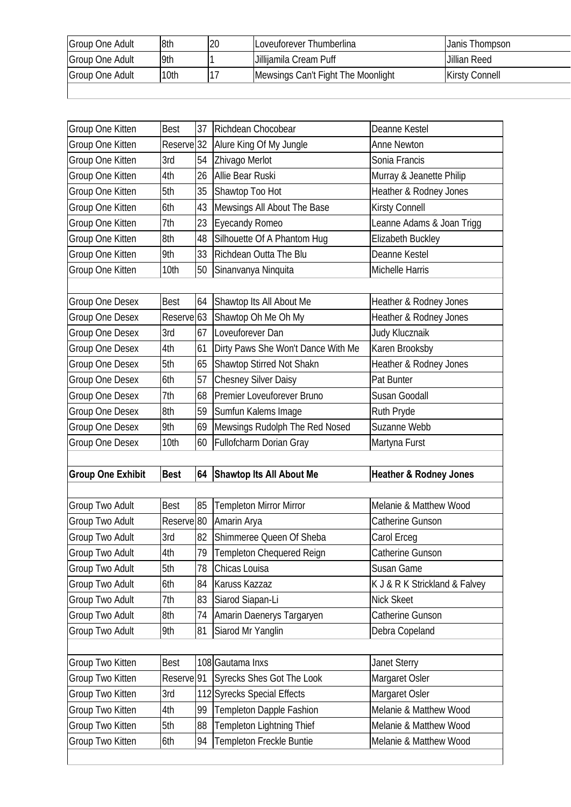| Group One Adult        | 8th              | 20 | Loveuforever Thumberlina           | Janis Thompson        |
|------------------------|------------------|----|------------------------------------|-----------------------|
| Group One Adult        | 9th              |    | Jillijamila Cream Puff             | Jillian Reed          |
| <b>Group One Adult</b> | 10 <sub>th</sub> |    | Mewsings Can't Fight The Moonlight | <b>Kirsty Connell</b> |
|                        |                  |    |                                    |                       |

| Group One Kitten         | <b>Best</b>           | 37 | Richdean Chocobear                 | Deanne Kestel                     |
|--------------------------|-----------------------|----|------------------------------------|-----------------------------------|
| Group One Kitten         | Reserve <sup>32</sup> |    | Alure King Of My Jungle            | <b>Anne Newton</b>                |
| Group One Kitten         | 3rd                   | 54 | Zhivago Merlot                     | Sonia Francis                     |
| Group One Kitten         | 4th                   | 26 | Allie Bear Ruski                   | Murray & Jeanette Philip          |
| Group One Kitten         | 5th                   | 35 | Shawtop Too Hot                    | Heather & Rodney Jones            |
| Group One Kitten         | 6th                   | 43 | Mewsings All About The Base        | Kirsty Connell                    |
| Group One Kitten         | 7th                   | 23 | <b>Eyecandy Romeo</b>              | Leanne Adams & Joan Trigg         |
| Group One Kitten         | 8th                   | 48 | Silhouette Of A Phantom Hug        | Elizabeth Buckley                 |
| Group One Kitten         | 9th                   | 33 | Richdean Outta The Blu             | Deanne Kestel                     |
| Group One Kitten         | 10th                  | 50 | Sinanvanya Ninquita                | Michelle Harris                   |
|                          |                       |    |                                    |                                   |
| Group One Desex          | <b>Best</b>           | 64 | Shawtop Its All About Me           | Heather & Rodney Jones            |
| Group One Desex          | Reserve <sub>63</sub> |    | Shawtop Oh Me Oh My                | Heather & Rodney Jones            |
| Group One Desex          | 3rd                   | 67 | Loveuforever Dan                   | Judy Klucznaik                    |
| Group One Desex          | 4th                   | 61 | Dirty Paws She Won't Dance With Me | Karen Brooksby                    |
| Group One Desex          | 5th                   | 65 | Shawtop Stirred Not Shakn          | Heather & Rodney Jones            |
| Group One Desex          | 6th                   | 57 | <b>Chesney Silver Daisy</b>        | Pat Bunter                        |
| Group One Desex          | 7th                   | 68 | Premier Loveuforever Bruno         | Susan Goodall                     |
| Group One Desex          | 8th                   | 59 | Sumfun Kalems Image                | Ruth Pryde                        |
| Group One Desex          | 9th                   | 69 | Mewsings Rudolph The Red Nosed     | Suzanne Webb                      |
| Group One Desex          | 10th                  | 60 | <b>Fullofcharm Dorian Gray</b>     | Martyna Furst                     |
|                          |                       |    |                                    |                                   |
|                          |                       |    |                                    |                                   |
| <b>Group One Exhibit</b> | <b>Best</b>           | 64 | <b>Shawtop Its All About Me</b>    | <b>Heather &amp; Rodney Jones</b> |
|                          |                       |    |                                    |                                   |
| Group Two Adult          | <b>Best</b>           | 85 | <b>Templeton Mirror Mirror</b>     | Melanie & Matthew Wood            |
| Group Two Adult          | Reserve <sup>80</sup> |    | Amarin Arya                        | Catherine Gunson                  |
| <b>Group Two Adult</b>   | 3rd                   | 82 | Shimmeree Queen Of Sheba           | Carol Erceg                       |
| Group Two Adult          | 4th                   | 79 | Templeton Chequered Reign          | Catherine Gunson                  |
| Group Two Adult          | 5th                   | 78 | Chicas Louisa                      | Susan Game                        |
| Group Two Adult          | 6th                   | 84 | Karuss Kazzaz                      | K J & R K Strickland & Falvey     |
| Group Two Adult          | 7th                   | 83 | Siarod Siapan-Li                   | <b>Nick Skeet</b>                 |
| Group Two Adult          | 8th                   | 74 | Amarin Daenerys Targaryen          | Catherine Gunson                  |
| Group Two Adult          | 9th                   | 81 | Siarod Mr Yanglin                  | Debra Copeland                    |
|                          |                       |    |                                    |                                   |
| Group Two Kitten         | <b>Best</b>           |    | 108 Gautama Inxs                   | <b>Janet Sterry</b>               |
| Group Two Kitten         | Reserve <sup>91</sup> |    | <b>Syrecks Shes Got The Look</b>   | Margaret Osler                    |
| Group Two Kitten         | 3rd                   |    | 112 Syrecks Special Effects        | Margaret Osler                    |
| Group Two Kitten         | 4th                   | 99 | <b>Templeton Dapple Fashion</b>    | Melanie & Matthew Wood            |
| Group Two Kitten         | 5th                   | 88 | Templeton Lightning Thief          | Melanie & Matthew Wood            |
| Group Two Kitten         | 6th                   | 94 | Templeton Freckle Buntie           | Melanie & Matthew Wood            |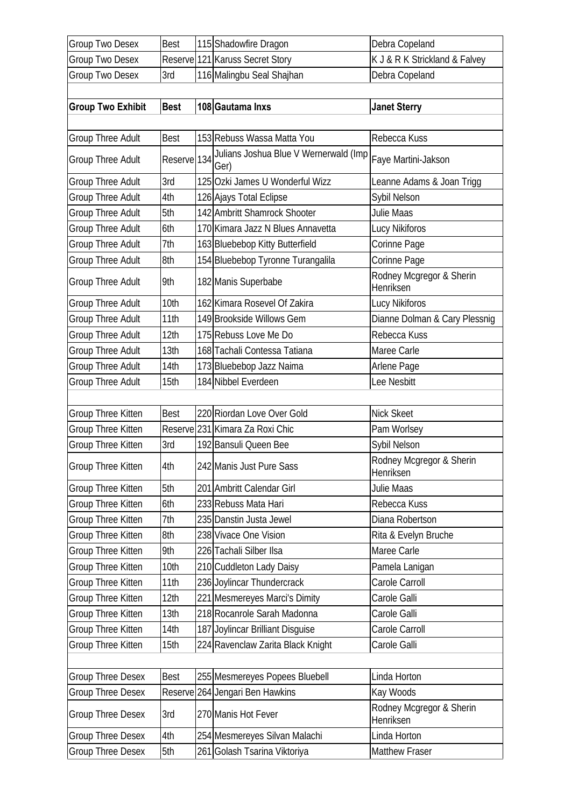| <b>Group Two Desex</b>   | <b>Best</b> | 115 Shadowfire Dragon                                             | Debra Copeland                        |
|--------------------------|-------------|-------------------------------------------------------------------|---------------------------------------|
| <b>Group Two Desex</b>   |             | Reserve 121 Karuss Secret Story                                   | K J & R K Strickland & Falvey         |
| Group Two Desex          | 3rd         | 116 Malingbu Seal Shajhan                                         | Debra Copeland                        |
|                          |             |                                                                   |                                       |
| <b>Group Two Exhibit</b> | <b>Best</b> | 108 Gautama Inxs                                                  | <b>Janet Sterry</b>                   |
|                          |             |                                                                   |                                       |
| <b>Group Three Adult</b> | <b>Best</b> | 153 Rebuss Wassa Matta You                                        | Rebecca Kuss                          |
| <b>Group Three Adult</b> | Reserve 134 | Julians Joshua Blue V Wernerwald (Imp Faye Martini-Jakson<br>Ger) |                                       |
| <b>Group Three Adult</b> | 3rd         | 125 Ozki James U Wonderful Wizz                                   | Leanne Adams & Joan Trigg             |
| <b>Group Three Adult</b> | 4th         | 126 Ajays Total Eclipse                                           | Sybil Nelson                          |
| <b>Group Three Adult</b> | 5th         | 142 Ambritt Shamrock Shooter                                      | Julie Maas                            |
| <b>Group Three Adult</b> | 6th         | 170 Kimara Jazz N Blues Annavetta                                 | Lucy Nikiforos                        |
| <b>Group Three Adult</b> | 7th         | 163 Bluebebop Kitty Butterfield                                   | Corinne Page                          |
| <b>Group Three Adult</b> | 8th         | 154 Bluebebop Tyronne Turangalila                                 | Corinne Page                          |
| <b>Group Three Adult</b> | 9th         | 182 Manis Superbabe                                               | Rodney Mcgregor & Sherin<br>Henriksen |
| <b>Group Three Adult</b> | 10th        | 162 Kimara Rosevel Of Zakira                                      | Lucy Nikiforos                        |
| Group Three Adult        | 11th        | 149 Brookside Willows Gem                                         | Dianne Dolman & Cary Plessnig         |
| <b>Group Three Adult</b> | 12th        | 175 Rebuss Love Me Do                                             | Rebecca Kuss                          |
| <b>Group Three Adult</b> | 13th        | 168 Tachali Contessa Tatiana                                      | Maree Carle                           |
| Group Three Adult        | 14th        | 173 Bluebebop Jazz Naima                                          | Arlene Page                           |
| <b>Group Three Adult</b> | 15th        | 184 Nibbel Everdeen                                               | Lee Nesbitt                           |
|                          |             |                                                                   |                                       |
| Group Three Kitten       | Best        | 220 Riordan Love Over Gold                                        | <b>Nick Skeet</b>                     |
| Group Three Kitten       | Reserve     | 231 Kimara Za Roxi Chic                                           | Pam Worlsey                           |
| Group Three Kitten       | 3rd         | 192 Bansuli Queen Bee                                             | Sybil Nelson                          |
| Group Three Kitten       | 4th         | 242 Manis Just Pure Sass                                          | Rodney Mcgregor & Sherin<br>Henriksen |
| Group Three Kitten       | 5th         | 201 Ambritt Calendar Girl                                         | Julie Maas                            |
| Group Three Kitten       | 6th         | 233 Rebuss Mata Hari                                              | Rebecca Kuss                          |
| Group Three Kitten       | 7th         | 235 Danstin Justa Jewel                                           | Diana Robertson                       |
| Group Three Kitten       | 8th         | 238 Vivace One Vision                                             | Rita & Evelyn Bruche                  |
| Group Three Kitten       | 9th         | 226 Tachali Silber Ilsa                                           | Maree Carle                           |
| Group Three Kitten       | 10th        | 210 Cuddleton Lady Daisy                                          | Pamela Lanigan                        |
| Group Three Kitten       | 11th        | 236 Joylincar Thundercrack                                        | Carole Carroll                        |
| Group Three Kitten       | 12th        | 221 Mesmereyes Marci's Dimity                                     | Carole Galli                          |
| Group Three Kitten       | 13th        | 218 Rocanrole Sarah Madonna                                       | Carole Galli                          |
| Group Three Kitten       | 14th        | 187 Joylincar Brilliant Disguise                                  | Carole Carroll                        |
| Group Three Kitten       | 15th        | 224 Ravenclaw Zarita Black Knight                                 | Carole Galli                          |
|                          |             |                                                                   |                                       |
| <b>Group Three Desex</b> | <b>Best</b> | 255 Mesmereyes Popees Bluebell                                    | Linda Horton                          |
| <b>Group Three Desex</b> |             | Reserve 264 Jengari Ben Hawkins                                   | Kay Woods                             |
| <b>Group Three Desex</b> | 3rd         | 270 Manis Hot Fever                                               | Rodney Mcgregor & Sherin<br>Henriksen |
| <b>Group Three Desex</b> | 4th         | 254 Mesmereyes Silvan Malachi                                     | Linda Horton                          |
| <b>Group Three Desex</b> | 5th         | 261 Golash Tsarina Viktoriya                                      | <b>Matthew Fraser</b>                 |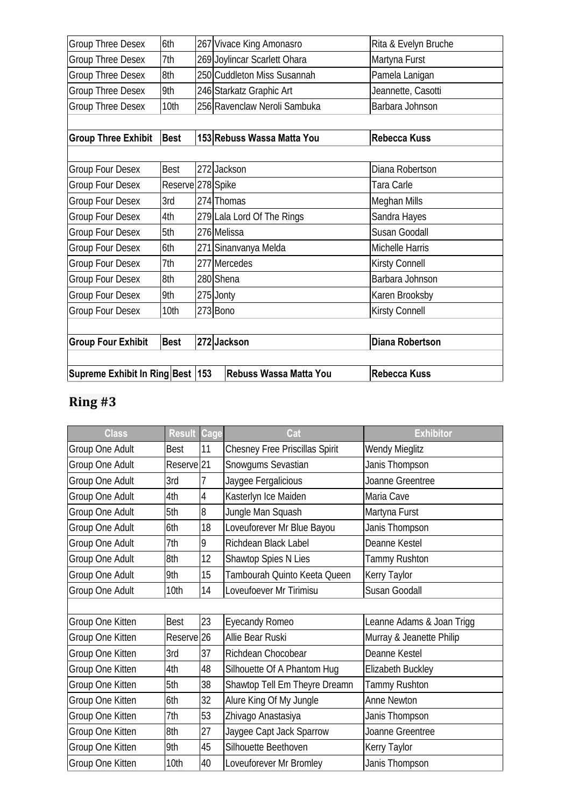| Supreme Exhibit In Ring Best  153 |                   | Rebuss Wassa Matta You       | <b>Rebecca Kuss</b>    |
|-----------------------------------|-------------------|------------------------------|------------------------|
|                                   |                   |                              |                        |
| <b>Group Four Exhibit</b>         | <b>Best</b>       | 272 Jackson                  | <b>Diana Robertson</b> |
|                                   |                   |                              |                        |
| <b>Group Four Desex</b>           | 10th              | 273 Bono                     | <b>Kirsty Connell</b>  |
| <b>Group Four Desex</b>           | 9th               | 275 Jonty                    | Karen Brooksby         |
| Group Four Desex                  | 8th               | 280 Shena                    | Barbara Johnson        |
| Group Four Desex                  | 7th               | 277 Mercedes                 | <b>Kirsty Connell</b>  |
| Group Four Desex                  | 6th               | 271 Sinanvanya Melda         | Michelle Harris        |
| <b>Group Four Desex</b>           | 5th               | 276 Melissa                  | Susan Goodall          |
| <b>Group Four Desex</b>           | 4th               | 279 Lala Lord Of The Rings   | Sandra Hayes           |
| Group Four Desex                  | 3rd               | 274 Thomas                   | Meghan Mills           |
| <b>Group Four Desex</b>           | Reserve 278 Spike |                              | Tara Carle             |
| <b>Group Four Desex</b>           | <b>Best</b>       | 272 Jackson                  | Diana Robertson        |
|                                   |                   |                              |                        |
| <b>Group Three Exhibit</b>        | <b>Best</b>       | 153 Rebuss Wassa Matta You   | <b>Rebecca Kuss</b>    |
|                                   |                   |                              |                        |
| <b>Group Three Desex</b>          | 10th              | 256 Ravenclaw Neroli Sambuka | Barbara Johnson        |
| <b>Group Three Desex</b>          | 9th               | 246 Starkatz Graphic Art     | Jeannette, Casotti     |
| <b>Group Three Desex</b>          | 8th               | 250 Cuddleton Miss Susannah  | Pamela Lanigan         |
| <b>Group Three Desex</b>          | 7th               | 269 Joylincar Scarlett Ohara | Martyna Furst          |
| <b>Group Three Desex</b>          | 6th               | 267 Vivace King Amonasro     | Rita & Evelyn Bruche   |

| <b>Class</b>     | <b>Result</b>         | Cage           | Cat                                   | <b>Exhibitor</b>          |
|------------------|-----------------------|----------------|---------------------------------------|---------------------------|
| Group One Adult  | <b>Best</b>           | 11             | <b>Chesney Free Priscillas Spirit</b> | <b>Wendy Mieglitz</b>     |
| Group One Adult  | Reserve <sup>21</sup> |                | Snowgums Sevastian                    | Janis Thompson            |
| Group One Adult  | 3rd                   | 7              | Jaygee Fergalicious                   | Joanne Greentree          |
| Group One Adult  | 4th                   | 4              | Kasterlyn Ice Maiden                  | Maria Cave                |
| Group One Adult  | 5th                   | $\overline{8}$ | Jungle Man Squash                     | Martyna Furst             |
| Group One Adult  | 6th                   | 18             | Loveuforever Mr Blue Bayou            | Janis Thompson            |
| Group One Adult  | 7th                   | 9              | Richdean Black Label                  | Deanne Kestel             |
| Group One Adult  | 8th                   | 12             | Shawtop Spies N Lies                  | Tammy Rushton             |
| Group One Adult  | 9th                   | 15             | Tambourah Quinto Keeta Queen          | Kerry Taylor              |
| Group One Adult  | 10th                  | 14             | Loveufoever Mr Tirimisu               | Susan Goodall             |
|                  |                       |                |                                       |                           |
| Group One Kitten | <b>Best</b>           | 23             | <b>Eyecandy Romeo</b>                 | Leanne Adams & Joan Trigg |
| Group One Kitten | Reserve <sup>26</sup> |                | Allie Bear Ruski                      | Murray & Jeanette Philip  |
| Group One Kitten | 3rd                   | 37             | Richdean Chocobear                    | Deanne Kestel             |
| Group One Kitten | 4th                   | 48             | Silhouette Of A Phantom Hug           | Elizabeth Buckley         |
| Group One Kitten | 5th                   | 38             | Shawtop Tell Em Theyre Dreamn         | Tammy Rushton             |
| Group One Kitten | 6th                   | 32             | Alure King Of My Jungle               | Anne Newton               |
| Group One Kitten | 7th                   | 53             | Zhivago Anastasiya                    | Janis Thompson            |
| Group One Kitten | 8th                   | 27             | Jaygee Capt Jack Sparrow              | Joanne Greentree          |
| Group One Kitten | 9th                   | 45             | Silhouette Beethoven                  | <b>Kerry Taylor</b>       |
| Group One Kitten | 10th                  | 40             | Loveuforever Mr Bromley               | Janis Thompson            |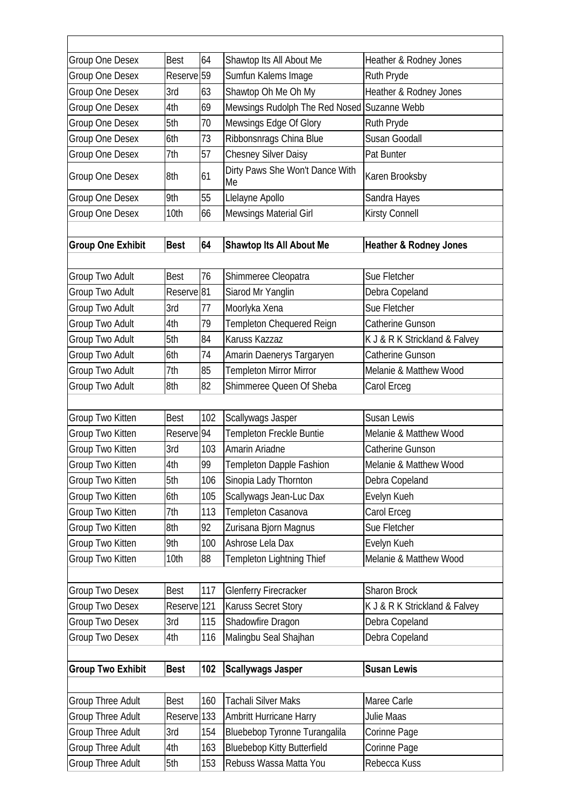| Group One Desex          | <b>Best</b>            | 64  | Shawtop Its All About Me                    | Heather & Rodney Jones            |
|--------------------------|------------------------|-----|---------------------------------------------|-----------------------------------|
| Group One Desex          | Reserve <sup>59</sup>  |     | Sumfun Kalems Image                         | Ruth Pryde                        |
| <b>Group One Desex</b>   | 3rd                    | 63  | Shawtop Oh Me Oh My                         | Heather & Rodney Jones            |
| Group One Desex          | 4th                    | 69  | Mewsings Rudolph The Red Nosed Suzanne Webb |                                   |
| Group One Desex          | 5th                    | 70  | Mewsings Edge Of Glory                      | Ruth Pryde                        |
| Group One Desex          | 6th                    | 73  | Ribbonsnrags China Blue                     | Susan Goodall                     |
| Group One Desex          | 7th                    | 57  | <b>Chesney Silver Daisy</b>                 | Pat Bunter                        |
| Group One Desex          | 8th                    | 61  | Dirty Paws She Won't Dance With<br>Me       | Karen Brooksby                    |
| Group One Desex          | 9th                    | 55  | Llelayne Apollo                             | Sandra Hayes                      |
| Group One Desex          | 10th                   | 66  | <b>Mewsings Material Girl</b>               | Kirsty Connell                    |
|                          |                        |     |                                             |                                   |
| <b>Group One Exhibit</b> | <b>Best</b>            | 64  | <b>Shawtop Its All About Me</b>             | <b>Heather &amp; Rodney Jones</b> |
|                          |                        |     |                                             |                                   |
| Group Two Adult          | <b>Best</b>            | 76  | Shimmeree Cleopatra                         | Sue Fletcher                      |
| Group Two Adult          | Reserve <sup>81</sup>  |     | Siarod Mr Yanglin                           | Debra Copeland                    |
| <b>Group Two Adult</b>   | 3rd                    | 77  | Moorlyka Xena                               | Sue Fletcher                      |
| <b>Group Two Adult</b>   | 4th                    | 79  | <b>Templeton Chequered Reign</b>            | Catherine Gunson                  |
| Group Two Adult          | 5th                    | 84  | Karuss Kazzaz                               | K J & R K Strickland & Falvey     |
| Group Two Adult          | 6th                    | 74  | Amarin Daenerys Targaryen                   | Catherine Gunson                  |
| Group Two Adult          | 7th                    | 85  | <b>Templeton Mirror Mirror</b>              | Melanie & Matthew Wood            |
| <b>Group Two Adult</b>   | 8th                    | 82  | Shimmeree Queen Of Sheba                    | Carol Erceg                       |
| Group Two Kitten         | <b>Best</b>            | 102 | Scallywags Jasper                           | Susan Lewis                       |
| Group Two Kitten         | Reserve <sup>94</sup>  |     | Templeton Freckle Buntie                    | Melanie & Matthew Wood            |
| Group Two Kitten         | 3rd                    | 103 | Amarin Ariadne                              | Catherine Gunson                  |
| Group Two Kitten         | 4th                    | 99  | <b>Templeton Dapple Fashion</b>             | Melanie & Matthew Wood            |
| Group Two Kitten         | 5th                    | 106 | Sinopia Lady Thornton                       | Debra Copeland                    |
| Group Two Kitten         | 6th                    | 105 | Scallywags Jean-Luc Dax                     | Evelyn Kueh                       |
| Group Two Kitten         | 7th                    | 113 | Templeton Casanova                          | Carol Erceq                       |
| Group Two Kitten         | 8th                    | 92  | Zurisana Bjorn Magnus                       | Sue Fletcher                      |
| Group Two Kitten         | 9th                    | 100 | Ashrose Lela Dax                            | Evelyn Kueh                       |
| Group Two Kitten         | 10th                   | 88  | Templeton Lightning Thief                   | Melanie & Matthew Wood            |
|                          |                        |     |                                             |                                   |
| Group Two Desex          |                        |     |                                             |                                   |
|                          | Best                   | 117 | <b>Glenferry Firecracker</b>                | <b>Sharon Brock</b>               |
| <b>Group Two Desex</b>   | Reserve <sup>121</sup> |     | Karuss Secret Story                         | K J & R K Strickland & Falvey     |
| Group Two Desex          | 3rd                    | 115 | Shadowfire Dragon                           | Debra Copeland                    |
| Group Two Desex          | 4th                    | 116 | Malingbu Seal Shajhan                       | Debra Copeland                    |
|                          |                        |     |                                             |                                   |
| <b>Group Two Exhibit</b> | <b>Best</b>            | 102 | <b>Scallywags Jasper</b>                    | <b>Susan Lewis</b>                |
| <b>Group Three Adult</b> | Best                   | 160 | <b>Tachali Silver Maks</b>                  | Maree Carle                       |
| <b>Group Three Adult</b> | Reserve <sup>133</sup> |     | Ambritt Hurricane Harry                     | Julie Maas                        |
| <b>Group Three Adult</b> | 3rd                    | 154 | Bluebebop Tyronne Turangalila               | Corinne Page                      |
| Group Three Adult        | 4th                    | 163 | <b>Bluebebop Kitty Butterfield</b>          | Corinne Page                      |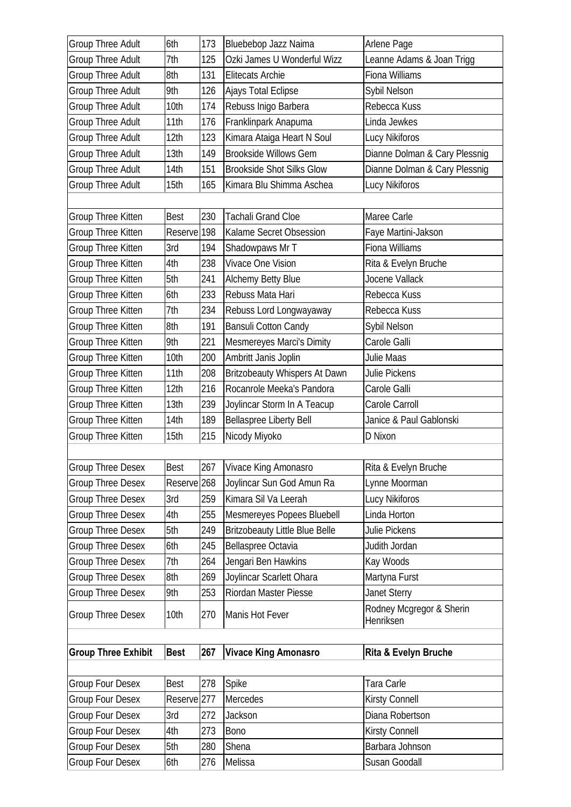| Group Three Adult          | 6th                    | 173 | Bluebebop Jazz Naima                  | Arlene Page                   |
|----------------------------|------------------------|-----|---------------------------------------|-------------------------------|
| Group Three Adult          | 7th                    | 125 | Ozki James U Wonderful Wizz           | Leanne Adams & Joan Trigg     |
| <b>Group Three Adult</b>   | 8th                    | 131 | <b>Elitecats Archie</b>               | Fiona Williams                |
| Group Three Adult          | 9th                    | 126 | Ajays Total Eclipse                   | Sybil Nelson                  |
| <b>Group Three Adult</b>   | 10th                   | 174 | Rebuss Inigo Barbera                  | Rebecca Kuss                  |
| Group Three Adult          | 11th                   | 176 | Franklinpark Anapuma                  | Linda Jewkes                  |
| <b>Group Three Adult</b>   | 12th                   | 123 | Kimara Ataiga Heart N Soul            | Lucy Nikiforos                |
| <b>Group Three Adult</b>   | 13th                   | 149 | <b>Brookside Willows Gem</b>          | Dianne Dolman & Cary Plessnig |
| <b>Group Three Adult</b>   | 14th                   | 151 | <b>Brookside Shot Silks Glow</b>      | Dianne Dolman & Cary Plessnig |
| <b>Group Three Adult</b>   | 15th                   | 165 | Kimara Blu Shimma Aschea              | Lucy Nikiforos                |
|                            |                        |     |                                       |                               |
| Group Three Kitten         | <b>Best</b>            | 230 | <b>Tachali Grand Cloe</b>             | Maree Carle                   |
| Group Three Kitten         | Reserve                | 198 | Kalame Secret Obsession               | Faye Martini-Jakson           |
| Group Three Kitten         | 3rd                    | 194 | Shadowpaws Mr T                       | <b>Fiona Williams</b>         |
| Group Three Kitten         | 4th                    | 238 | Vivace One Vision                     | Rita & Evelyn Bruche          |
| Group Three Kitten         | 5th                    | 241 | Alchemy Betty Blue                    | Jocene Vallack                |
| Group Three Kitten         | 6th                    | 233 | Rebuss Mata Hari                      | Rebecca Kuss                  |
| Group Three Kitten         | 7th                    | 234 | Rebuss Lord Longwayaway               | Rebecca Kuss                  |
| Group Three Kitten         | 8th                    | 191 | <b>Bansuli Cotton Candy</b>           | Sybil Nelson                  |
| Group Three Kitten         | 9th                    | 221 | Mesmereyes Marci's Dimity             | Carole Galli                  |
| Group Three Kitten         | 10th                   | 200 | Ambritt Janis Joplin                  | <b>Julie Maas</b>             |
| Group Three Kitten         | 11th                   | 208 | <b>Britzobeauty Whispers At Dawn</b>  | Julie Pickens                 |
| Group Three Kitten         | 12th                   | 216 | Rocanrole Meeka's Pandora             | Carole Galli                  |
| Group Three Kitten         | 13th                   | 239 | Joylincar Storm In A Teacup           | Carole Carroll                |
| Group Three Kitten         | 14th                   | 189 | <b>Bellaspree Liberty Bell</b>        | Janice & Paul Gablonski       |
| Group Three Kitten         | 15th                   | 215 | Nicody Miyoko                         | D Nixon                       |
|                            |                        |     |                                       |                               |
| Group Three Desex          | <b>Best</b>            | 267 | Vivace King Amonasro                  | Rita & Evelyn Bruche          |
| <b>Group Three Desex</b>   | Reserve <sub>268</sub> |     | Joylincar Sun God Amun Ra             | Lynne Moorman                 |
| <b>Group Three Desex</b>   | 3rd                    | 259 | Kimara Sil Va Leerah                  | Lucy Nikiforos                |
| <b>Group Three Desex</b>   | 4th                    | 255 | Mesmereyes Popees Bluebell            | Linda Horton                  |
| <b>Group Three Desex</b>   | 5th                    | 249 | <b>Britzobeauty Little Blue Belle</b> | Julie Pickens                 |
| <b>Group Three Desex</b>   | 6th                    | 245 | Bellaspree Octavia                    | Judith Jordan                 |
| <b>Group Three Desex</b>   | 7th                    | 264 | Jengari Ben Hawkins                   | Kay Woods                     |
| <b>Group Three Desex</b>   | 8th                    | 269 | Joylincar Scarlett Ohara              | Martyna Furst                 |
| <b>Group Three Desex</b>   | 9th                    | 253 | Riordan Master Piesse                 | <b>Janet Sterry</b>           |
| <b>Group Three Desex</b>   | 10th                   | 270 | Manis Hot Fever                       | Rodney Mcgregor & Sherin      |
|                            |                        |     |                                       | Henriksen                     |
|                            |                        |     |                                       |                               |
| <b>Group Three Exhibit</b> | <b>Best</b>            | 267 | <b>Vivace King Amonasro</b>           | Rita & Evelyn Bruche          |
|                            |                        |     |                                       |                               |
| <b>Group Four Desex</b>    | <b>Best</b>            | 278 | Spike                                 | Tara Carle                    |
| Group Four Desex           | Reserve <sup>277</sup> |     | Mercedes                              | Kirsty Connell                |
| <b>Group Four Desex</b>    | 3rd                    | 272 | Jackson                               | Diana Robertson               |
| Group Four Desex           | 4th                    | 273 | <b>Bono</b>                           | Kirsty Connell                |
| Group Four Desex           | 5th                    | 280 | Shena                                 | Barbara Johnson               |
| Group Four Desex           | 6th                    | 276 | Melissa                               | Susan Goodall                 |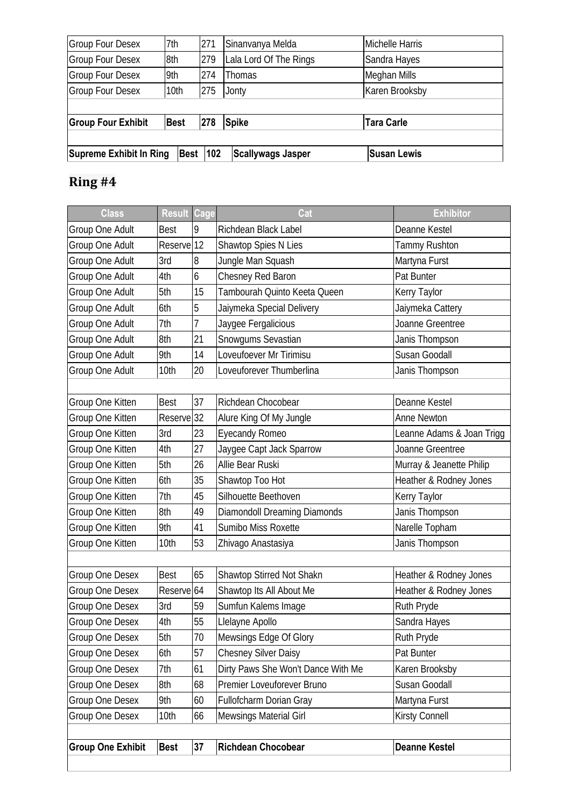| <b>Supreme Exhibit In Ring</b> |             | <b>Best 102</b> | <b>Scallywags Jasper</b> | <b>Susan Lewis</b> |
|--------------------------------|-------------|-----------------|--------------------------|--------------------|
| <b>Group Four Exhibit</b>      | <b>Best</b> | 278             | <b>Spike</b>             | <b>Tara Carle</b>  |
| <b>Group Four Desex</b>        | 10th        | 275             | Jonty                    | Karen Brooksby     |
|                                |             |                 |                          |                    |
| <b>Group Four Desex</b>        | 9th         | 274             | Thomas                   | Meghan Mills       |
| <b>Group Four Desex</b>        | 8th         | 279             | Lala Lord Of The Rings   | Sandra Hayes       |
| <b>Group Four Desex</b>        | 7th         | 271             | Sinanvanya Melda         | Michelle Harris    |

| <b>Class</b>             | Result                | Cage | Cat                                | <b>Exhibitor</b>          |
|--------------------------|-----------------------|------|------------------------------------|---------------------------|
| Group One Adult          | <b>Best</b>           | 9    | Richdean Black Label               | Deanne Kestel             |
| Group One Adult          | Reserve <sup>12</sup> |      | Shawtop Spies N Lies               | <b>Tammy Rushton</b>      |
| Group One Adult          | 3rd                   | 8    | Jungle Man Squash                  | Martyna Furst             |
| Group One Adult          | 4th                   | 6    | Chesney Red Baron                  | Pat Bunter                |
| Group One Adult          | 5th                   | 15   | Tambourah Quinto Keeta Queen       | Kerry Taylor              |
| Group One Adult          | 6th                   | 5    | Jaiymeka Special Delivery          | Jaiymeka Cattery          |
| Group One Adult          | 7th                   | 7    | Jaygee Fergalicious                | Joanne Greentree          |
| Group One Adult          | 8th                   | 21   | Snowgums Sevastian                 | Janis Thompson            |
| Group One Adult          | 9th                   | 14   | Loveufoever Mr Tirimisu            | Susan Goodall             |
| Group One Adult          | 10th                  | 20   | Loveuforever Thumberlina           | Janis Thompson            |
|                          |                       |      |                                    |                           |
| Group One Kitten         | <b>Best</b>           | 37   | Richdean Chocobear                 | Deanne Kestel             |
| Group One Kitten         | Reserve <sup>32</sup> |      | Alure King Of My Jungle            | <b>Anne Newton</b>        |
| Group One Kitten         | 3rd                   | 23   | <b>Eyecandy Romeo</b>              | Leanne Adams & Joan Trigg |
| Group One Kitten         | 4th                   | 27   | Jaygee Capt Jack Sparrow           | Joanne Greentree          |
| Group One Kitten         | 5th                   | 26   | Allie Bear Ruski                   | Murray & Jeanette Philip  |
| Group One Kitten         | 6th                   | 35   | Shawtop Too Hot                    | Heather & Rodney Jones    |
| Group One Kitten         | 7th                   | 45   | Silhouette Beethoven               | Kerry Taylor              |
| Group One Kitten         | 8th                   | 49   | Diamondoll Dreaming Diamonds       | Janis Thompson            |
| Group One Kitten         | 9th                   | 41   | Sumibo Miss Roxette                | Narelle Topham            |
| Group One Kitten         | 10th                  | 53   | Zhivago Anastasiya                 | Janis Thompson            |
|                          |                       |      |                                    |                           |
| Group One Desex          | <b>Best</b>           | 65   | Shawtop Stirred Not Shakn          | Heather & Rodney Jones    |
| Group One Desex          | Reserve 64            |      | Shawtop Its All About Me           | Heather & Rodney Jones    |
| Group One Desex          | 3rd                   | 59   | Sumfun Kalems Image                | Ruth Pryde                |
| Group One Desex          | 4th                   | 55   | Llelayne Apollo                    | Sandra Hayes              |
| Group One Desex          | 5th                   | 70   | Mewsings Edge Of Glory             | Ruth Pryde                |
| Group One Desex          | 6th                   | 57   | <b>Chesney Silver Daisy</b>        | Pat Bunter                |
| Group One Desex          | 7th                   | 61   | Dirty Paws She Won't Dance With Me | Karen Brooksby            |
| Group One Desex          | 8th                   | 68   | Premier Loveuforever Bruno         | Susan Goodall             |
| Group One Desex          | 9th                   | 60   | Fullofcharm Dorian Gray            | Martyna Furst             |
| Group One Desex          | 10th                  | 66   | Mewsings Material Girl             | Kirsty Connell            |
|                          |                       |      |                                    |                           |
| <b>Group One Exhibit</b> | <b>Best</b>           | 37   | <b>Richdean Chocobear</b>          | <b>Deanne Kestel</b>      |
|                          |                       |      |                                    |                           |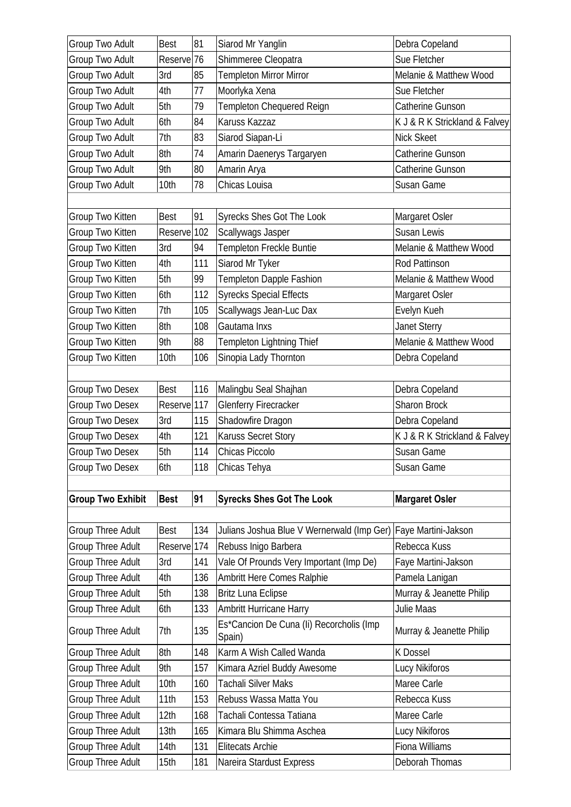| Group Two Adult          | <b>Best</b>            | 81  | Siarod Mr Yanglin                                  | Debra Copeland                |
|--------------------------|------------------------|-----|----------------------------------------------------|-------------------------------|
| Group Two Adult          | Reserve <sub>76</sub>  |     | Shimmeree Cleopatra                                | Sue Fletcher                  |
| Group Two Adult          | 3rd                    | 85  | Templeton Mirror Mirror                            | Melanie & Matthew Wood        |
| Group Two Adult          | 4th                    | 77  | Moorlyka Xena                                      | Sue Fletcher                  |
| Group Two Adult          | 5th                    | 79  | Templeton Chequered Reign                          | Catherine Gunson              |
| Group Two Adult          | 6th                    | 84  | Karuss Kazzaz                                      | K J & R K Strickland & Falvey |
| Group Two Adult          | 7th                    | 83  | Siarod Siapan-Li                                   | Nick Skeet                    |
| Group Two Adult          | 8th                    | 74  | Amarin Daenerys Targaryen                          | Catherine Gunson              |
| <b>Group Two Adult</b>   | 9th                    | 80  | Amarin Arya                                        | Catherine Gunson              |
| Group Two Adult          | 10th                   | 78  | Chicas Louisa                                      | Susan Game                    |
|                          |                        |     |                                                    |                               |
| Group Two Kitten         | <b>Best</b>            | 91  | <b>Syrecks Shes Got The Look</b>                   | Margaret Osler                |
| Group Two Kitten         | Reserve                | 102 | Scallywags Jasper                                  | Susan Lewis                   |
| Group Two Kitten         | 3rd                    | 94  | Templeton Freckle Buntie                           | Melanie & Matthew Wood        |
| Group Two Kitten         | 4th                    | 111 | Siarod Mr Tyker                                    | Rod Pattinson                 |
| Group Two Kitten         | 5th                    | 99  | Templeton Dapple Fashion                           | Melanie & Matthew Wood        |
| Group Two Kitten         | 6th                    | 112 | <b>Syrecks Special Effects</b>                     | Margaret Osler                |
| Group Two Kitten         | 7th                    | 105 | Scallywags Jean-Luc Dax                            | Evelyn Kueh                   |
| Group Two Kitten         | 8th                    | 108 | Gautama Inxs                                       | <b>Janet Sterry</b>           |
| Group Two Kitten         | 9th                    | 88  | Templeton Lightning Thief                          | Melanie & Matthew Wood        |
| Group Two Kitten         | 10th                   | 106 | Sinopia Lady Thornton                              | Debra Copeland                |
|                          |                        |     |                                                    |                               |
| Group Two Desex          | <b>Best</b>            | 116 | Malingbu Seal Shajhan                              | Debra Copeland                |
| Group Two Desex          | Reserve <sup>117</sup> |     | <b>Glenferry Firecracker</b>                       | <b>Sharon Brock</b>           |
| Group Two Desex          | 3rd                    | 115 | Shadowfire Dragon                                  | Debra Copeland                |
| Group Two Desex          | 4th                    | 121 | <b>Karuss Secret Story</b>                         | K J & R K Strickland & Falvey |
| Group Two Desex          | 5th                    | 114 | Chicas Piccolo                                     | Susan Game                    |
| Group Two Desex          | 6th                    | 118 | Chicas Tehya                                       | Susan Game                    |
|                          |                        |     |                                                    |                               |
| <b>Group Two Exhibit</b> | <b>Best</b>            | 91  | <b>Syrecks Shes Got The Look</b>                   | <b>Margaret Osler</b>         |
|                          |                        |     |                                                    |                               |
| <b>Group Three Adult</b> | <b>Best</b>            | 134 | Julians Joshua Blue V Wernerwald (Imp Ger)         | Faye Martini-Jakson           |
| Group Three Adult        | Reserve <sup>174</sup> |     | Rebuss Inigo Barbera                               | Rebecca Kuss                  |
| Group Three Adult        | 3rd                    | 141 | Vale Of Prounds Very Important (Imp De)            | Faye Martini-Jakson           |
| Group Three Adult        |                        |     |                                                    |                               |
|                          | 4th                    | 136 | Ambritt Here Comes Ralphie                         | Pamela Lanigan                |
| <b>Group Three Adult</b> | 5th                    | 138 | Britz Luna Eclipse                                 | Murray & Jeanette Philip      |
| Group Three Adult        | 6th                    | 133 | Ambritt Hurricane Harry                            | Julie Maas                    |
| <b>Group Three Adult</b> | 7th                    | 135 | Es*Cancion De Cuna (Ii) Recorcholis (Imp<br>Spain) | Murray & Jeanette Philip      |
| Group Three Adult        | 8th                    | 148 | Karm A Wish Called Wanda                           | K Dossel                      |
| Group Three Adult        | 9th                    | 157 | Kimara Azriel Buddy Awesome                        | Lucy Nikiforos                |
| Group Three Adult        | 10th                   | 160 | <b>Tachali Silver Maks</b>                         | Maree Carle                   |
| <b>Group Three Adult</b> | 11th                   | 153 | Rebuss Wassa Matta You                             | Rebecca Kuss                  |
| Group Three Adult        | 12th                   | 168 | Tachali Contessa Tatiana                           | Maree Carle                   |
| Group Three Adult        | 13th                   | 165 | Kimara Blu Shimma Aschea                           | Lucy Nikiforos                |
| Group Three Adult        | 14th                   | 131 | <b>Elitecats Archie</b>                            | Fiona Williams                |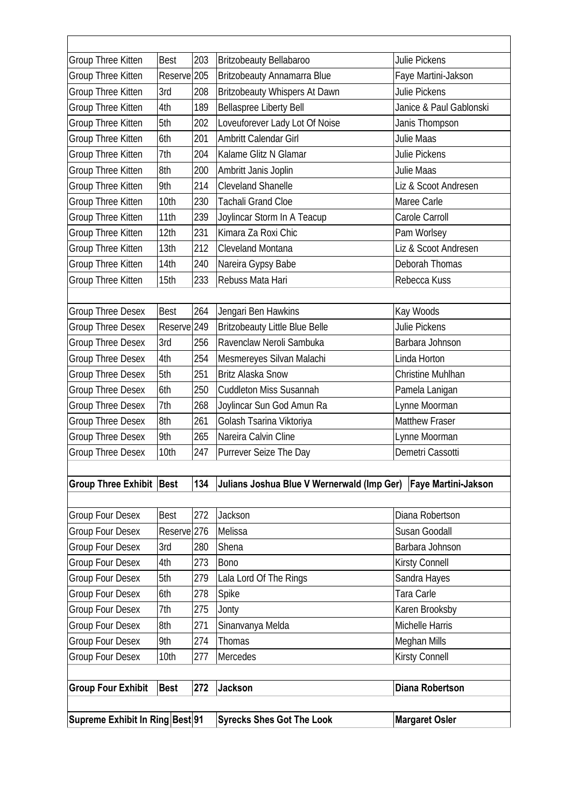| Group Three Kitten              | <b>Best</b>            | 203 | <b>Britzobeauty Bellabaroo</b>                                 | Julie Pickens            |
|---------------------------------|------------------------|-----|----------------------------------------------------------------|--------------------------|
| Group Three Kitten              | Reserve <sub>205</sub> |     | <b>Britzobeauty Annamarra Blue</b>                             | Faye Martini-Jakson      |
| Group Three Kitten              | 3rd                    | 208 | <b>Britzobeauty Whispers At Dawn</b>                           | Julie Pickens            |
| Group Three Kitten              | 4th                    | 189 | <b>Bellaspree Liberty Bell</b>                                 | Janice & Paul Gablonski  |
| Group Three Kitten              | 5th                    | 202 | Loveuforever Lady Lot Of Noise                                 | Janis Thompson           |
| Group Three Kitten              | 6th                    | 201 | Ambritt Calendar Girl                                          | Julie Maas               |
| Group Three Kitten              | 7th                    | 204 | Kalame Glitz N Glamar                                          | <b>Julie Pickens</b>     |
| Group Three Kitten              | 8th                    | 200 | Ambritt Janis Joplin                                           | <b>Julie Maas</b>        |
| Group Three Kitten              | 9th                    | 214 | <b>Cleveland Shanelle</b>                                      | Liz & Scoot Andresen     |
| Group Three Kitten              | 10th                   | 230 | <b>Tachali Grand Cloe</b>                                      | Maree Carle              |
| Group Three Kitten              | 11th                   | 239 | Joylincar Storm In A Teacup                                    | Carole Carroll           |
| Group Three Kitten              | 12th                   | 231 | Kimara Za Roxi Chic                                            | Pam Worlsey              |
| Group Three Kitten              | 13th                   | 212 | Cleveland Montana                                              | Liz & Scoot Andresen     |
| Group Three Kitten              | 14th                   | 240 | Nareira Gypsy Babe                                             | Deborah Thomas           |
| Group Three Kitten              | 15th                   | 233 | Rebuss Mata Hari                                               | Rebecca Kuss             |
|                                 |                        |     |                                                                |                          |
| Group Three Desex               | <b>Best</b>            | 264 | Jengari Ben Hawkins                                            | Kay Woods                |
| <b>Group Three Desex</b>        | Reserve <sup>249</sup> |     | <b>Britzobeauty Little Blue Belle</b>                          | Julie Pickens            |
| <b>Group Three Desex</b>        | 3rd                    | 256 | Ravenclaw Neroli Sambuka                                       | Barbara Johnson          |
| <b>Group Three Desex</b>        | 4th                    | 254 | Mesmereyes Silvan Malachi                                      | Linda Horton             |
| <b>Group Three Desex</b>        | 5th                    | 251 | <b>Britz Alaska Snow</b>                                       | <b>Christine Muhlhan</b> |
| <b>Group Three Desex</b>        | 6th                    | 250 | <b>Cuddleton Miss Susannah</b>                                 | Pamela Lanigan           |
| <b>Group Three Desex</b>        | 7th                    | 268 | Joylincar Sun God Amun Ra                                      | Lynne Moorman            |
| <b>Group Three Desex</b>        | 8th                    | 261 | Golash Tsarina Viktoriya                                       | <b>Matthew Fraser</b>    |
| <b>Group Three Desex</b>        | 9th                    | 265 | Nareira Calvin Cline                                           | Lynne Moorman            |
| <b>Group Three Desex</b>        | 10th                   | 247 | Purrever Seize The Day                                         | Demetri Cassotti         |
|                                 |                        |     |                                                                |                          |
| <b>Group Three Exhibit Best</b> |                        | 134 | Julians Joshua Blue V Wernerwald (Imp Ger) Faye Martini-Jakson |                          |
|                                 |                        |     |                                                                |                          |
| <b>Group Four Desex</b>         | <b>Best</b>            | 272 | Jackson                                                        | Diana Robertson          |
| <b>Group Four Desex</b>         | Reserve <sup>276</sup> |     | Melissa                                                        | Susan Goodall            |
| <b>Group Four Desex</b>         | 3rd                    | 280 | Shena                                                          | Barbara Johnson          |
| <b>Group Four Desex</b>         | 4th                    | 273 | <b>Bono</b>                                                    | <b>Kirsty Connell</b>    |
| <b>Group Four Desex</b>         | 5th                    | 279 | Lala Lord Of The Rings                                         | Sandra Hayes             |
| Group Four Desex                | 6th                    | 278 | Spike                                                          | Tara Carle               |
| <b>Group Four Desex</b>         | 7th                    | 275 | Jonty                                                          | Karen Brooksby           |
| <b>Group Four Desex</b>         | 8th                    | 271 | Sinanvanya Melda                                               | Michelle Harris          |
| Group Four Desex                | 9th                    | 274 | Thomas                                                         | Meghan Mills             |
| Group Four Desex                | 10th                   | 277 | Mercedes                                                       | Kirsty Connell           |
|                                 |                        |     |                                                                |                          |
| <b>Group Four Exhibit</b>       | <b>Best</b>            | 272 | <b>Jackson</b>                                                 | <b>Diana Robertson</b>   |
|                                 |                        |     |                                                                |                          |
| Supreme Exhibit In Ring Best 91 |                        |     | <b>Syrecks Shes Got The Look</b>                               | <b>Margaret Osler</b>    |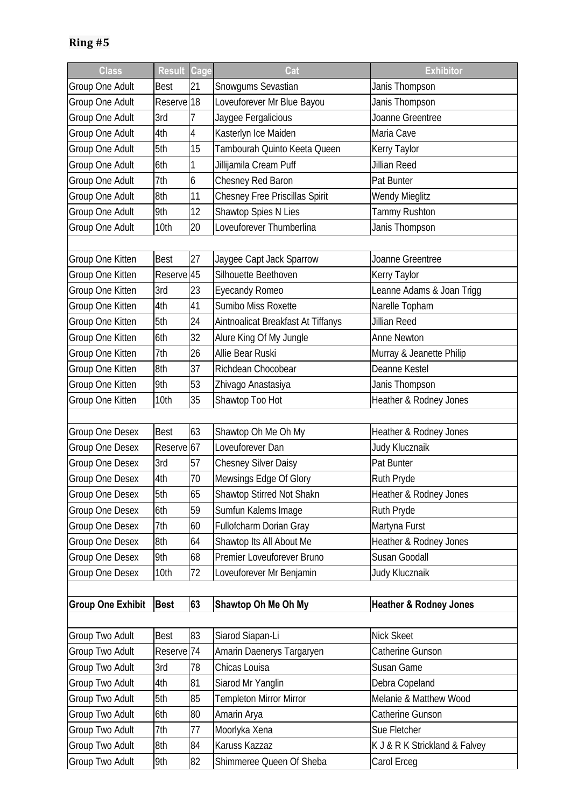| <b>Class</b>             | <b>Result</b>                     | Cage | Cat                                   | <b>Exhibitor</b>                  |
|--------------------------|-----------------------------------|------|---------------------------------------|-----------------------------------|
| Group One Adult          | Best                              | 21   | Snowgums Sevastian                    | Janis Thompson                    |
| Group One Adult          | Reserve <sup>18</sup>             |      | Loveuforever Mr Blue Bayou            | Janis Thompson                    |
| Group One Adult          | 3rd                               | 7    | Jaygee Fergalicious                   | Joanne Greentree                  |
| Group One Adult          | 4th                               | 4    | Kasterlyn Ice Maiden                  | Maria Cave                        |
| Group One Adult          | 5th                               | 15   | Tambourah Quinto Keeta Queen          | Kerry Taylor                      |
| Group One Adult          | 6th                               | 1    | Jillijamila Cream Puff                | Jillian Reed                      |
| Group One Adult          | 7th                               | 6    | Chesney Red Baron                     | Pat Bunter                        |
| Group One Adult          | 8th                               | 11   | <b>Chesney Free Priscillas Spirit</b> | <b>Wendy Mieglitz</b>             |
| Group One Adult          | 9th                               | 12   | Shawtop Spies N Lies                  | Tammy Rushton                     |
| Group One Adult          | 10th                              | 20   | Loveuforever Thumberlina              | Janis Thompson                    |
|                          |                                   |      |                                       |                                   |
| Group One Kitten         | <b>Best</b>                       | 27   | Jaygee Capt Jack Sparrow              | Joanne Greentree                  |
| Group One Kitten         | Reserve <sup>1</sup> <sub>5</sub> |      | Silhouette Beethoven                  | Kerry Taylor                      |
| Group One Kitten         | 3rd                               | 23   | <b>Eyecandy Romeo</b>                 | Leanne Adams & Joan Trigg         |
| Group One Kitten         | 4th                               | 41   | Sumibo Miss Roxette                   | Narelle Topham                    |
| Group One Kitten         | 5th                               | 24   | Aintnoalicat Breakfast At Tiffanys    | Jillian Reed                      |
| Group One Kitten         | 6th                               | 32   | Alure King Of My Jungle               | <b>Anne Newton</b>                |
| Group One Kitten         | 7th                               | 26   | Allie Bear Ruski                      | Murray & Jeanette Philip          |
| Group One Kitten         | 8th                               | 37   | Richdean Chocobear                    | Deanne Kestel                     |
| Group One Kitten         | 9th                               | 53   | Zhivago Anastasiya                    | Janis Thompson                    |
| Group One Kitten         | 10th                              | 35   | Shawtop Too Hot                       | Heather & Rodney Jones            |
|                          |                                   |      |                                       |                                   |
| Group One Desex          | <b>Best</b>                       | 63   | Shawtop Oh Me Oh My                   | Heather & Rodney Jones            |
| Group One Desex          | Reserve <sup>67</sup>             |      | Loveuforever Dan                      | Judy Klucznaik                    |
| Group One Desex          | 3rd                               | 57   | <b>Chesney Silver Daisy</b>           | Pat Bunter                        |
| Group One Desex          | 4th                               | 70   | Mewsings Edge Of Glory                | Ruth Pryde                        |
| Group One Desex          | 5th                               | 65   | Shawtop Stirred Not Shakn             | Heather & Rodney Jones            |
| Group One Desex          | 6th                               | 59   | Sumfun Kalems Image                   | Ruth Pryde                        |
| Group One Desex          | 7th                               | 60   | Fullofcharm Dorian Gray               | Martyna Furst                     |
| Group One Desex          | 8th                               | 64   | Shawtop Its All About Me              | Heather & Rodney Jones            |
| <b>Group One Desex</b>   | 9th                               | 68   | Premier Loveuforever Bruno            | Susan Goodall                     |
| Group One Desex          | 10th                              | 72   | Loveuforever Mr Benjamin              | Judy Klucznaik                    |
|                          |                                   |      |                                       |                                   |
| <b>Group One Exhibit</b> | <b>Best</b>                       | 63   | Shawtop Oh Me Oh My                   | <b>Heather &amp; Rodney Jones</b> |
|                          |                                   |      |                                       |                                   |
| Group Two Adult          | <b>Best</b>                       | 83   | Siarod Siapan-Li                      | <b>Nick Skeet</b>                 |
| Group Two Adult          | Reserve <sup>174</sup>            |      | Amarin Daenerys Targaryen             | Catherine Gunson                  |
| Group Two Adult          | 3rd                               | 78   | Chicas Louisa                         | Susan Game                        |
| Group Two Adult          | 4th                               | 81   | Siarod Mr Yanglin                     | Debra Copeland                    |
| Group Two Adult          | 5th                               | 85   | <b>Templeton Mirror Mirror</b>        | Melanie & Matthew Wood            |
| Group Two Adult          | 6th                               | 80   | Amarin Arya                           | Catherine Gunson                  |
| Group Two Adult          | 7th                               | 77   | Moorlyka Xena                         | Sue Fletcher                      |
| Group Two Adult          | 8th                               | 84   | Karuss Kazzaz                         | K J & R K Strickland & Falvey     |
| Group Two Adult          | 9th                               | 82   | Shimmeree Queen Of Sheba              | Carol Erceg                       |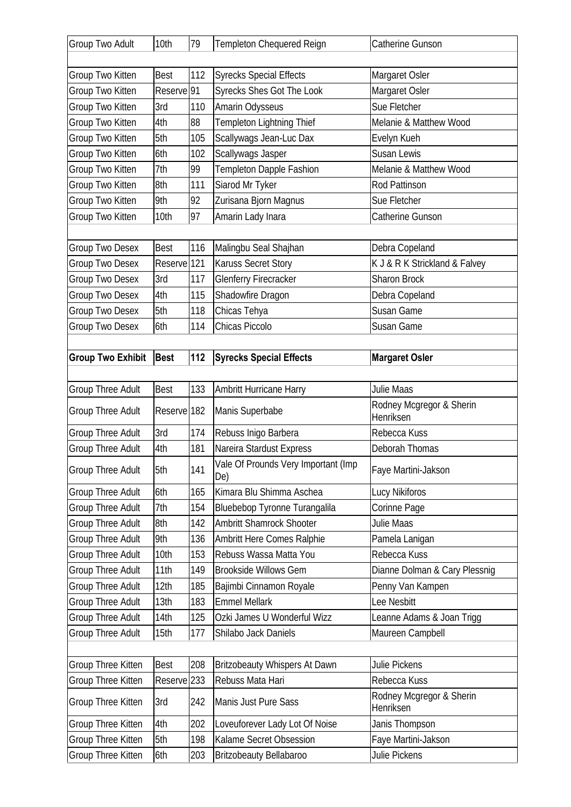| 112<br><b>Syrecks Special Effects</b><br>Margaret Osler<br>Group Two Kitten<br><b>Best</b><br>Reserve <sup>91</sup><br>Syrecks Shes Got The Look<br>Margaret Osler<br>Group Two Kitten<br>Group Two Kitten<br>3rd<br>110<br>Amarin Odysseus<br>Sue Fletcher<br>88<br>Templeton Lightning Thief<br>Group Two Kitten<br>4th<br>Melanie & Matthew Wood<br>5th<br>Group Two Kitten<br>105<br>Scallywags Jean-Luc Dax<br>Evelyn Kueh<br>Scallywags Jasper<br>Group Two Kitten<br>102<br>Susan Lewis<br>6th<br>Templeton Dapple Fashion<br>Group Two Kitten<br>7th<br>99<br>Melanie & Matthew Wood<br>Group Two Kitten<br>8th<br>Siarod Mr Tyker<br>111<br>Rod Pattinson<br>92<br>9th<br>Group Two Kitten<br>Zurisana Bjorn Magnus<br>Sue Fletcher<br>97<br>Amarin Lady Inara<br>Group Two Kitten<br>10th<br>Catherine Gunson<br>116<br>Group Two Desex<br><b>Best</b><br>Malingbu Seal Shajhan<br>Debra Copeland<br>Reserve <sup>121</sup><br>Karuss Secret Story<br>K J & R K Strickland & Falvey<br>Group Two Desex<br>Group Two Desex<br>3rd<br>117<br><b>Glenferry Firecracker</b><br>Sharon Brock<br>Group Two Desex<br>4th<br>115<br>Shadowfire Dragon<br>Debra Copeland<br>5th<br>Group Two Desex<br>118<br>Chicas Tehya<br>Susan Game<br>114<br>Chicas Piccolo<br>Group Two Desex<br>6th<br>Susan Game<br><b>Group Two Exhibit</b><br><b>Best</b><br>112<br><b>Syrecks Special Effects</b><br><b>Margaret Osler</b><br>Group Three Adult<br>133<br>Julie Maas<br><b>Best</b><br><b>Ambritt Hurricane Harry</b><br>Rodney Mcgregor & Sherin<br>Group Three Adult<br>Reserve <sup>182</sup><br>Manis Superbabe<br>Henriksen |
|------------------------------------------------------------------------------------------------------------------------------------------------------------------------------------------------------------------------------------------------------------------------------------------------------------------------------------------------------------------------------------------------------------------------------------------------------------------------------------------------------------------------------------------------------------------------------------------------------------------------------------------------------------------------------------------------------------------------------------------------------------------------------------------------------------------------------------------------------------------------------------------------------------------------------------------------------------------------------------------------------------------------------------------------------------------------------------------------------------------------------------------------------------------------------------------------------------------------------------------------------------------------------------------------------------------------------------------------------------------------------------------------------------------------------------------------------------------------------------------------------------------------------------------------------------------------------------------------------------------------------|
|                                                                                                                                                                                                                                                                                                                                                                                                                                                                                                                                                                                                                                                                                                                                                                                                                                                                                                                                                                                                                                                                                                                                                                                                                                                                                                                                                                                                                                                                                                                                                                                                                              |
|                                                                                                                                                                                                                                                                                                                                                                                                                                                                                                                                                                                                                                                                                                                                                                                                                                                                                                                                                                                                                                                                                                                                                                                                                                                                                                                                                                                                                                                                                                                                                                                                                              |
|                                                                                                                                                                                                                                                                                                                                                                                                                                                                                                                                                                                                                                                                                                                                                                                                                                                                                                                                                                                                                                                                                                                                                                                                                                                                                                                                                                                                                                                                                                                                                                                                                              |
|                                                                                                                                                                                                                                                                                                                                                                                                                                                                                                                                                                                                                                                                                                                                                                                                                                                                                                                                                                                                                                                                                                                                                                                                                                                                                                                                                                                                                                                                                                                                                                                                                              |
|                                                                                                                                                                                                                                                                                                                                                                                                                                                                                                                                                                                                                                                                                                                                                                                                                                                                                                                                                                                                                                                                                                                                                                                                                                                                                                                                                                                                                                                                                                                                                                                                                              |
|                                                                                                                                                                                                                                                                                                                                                                                                                                                                                                                                                                                                                                                                                                                                                                                                                                                                                                                                                                                                                                                                                                                                                                                                                                                                                                                                                                                                                                                                                                                                                                                                                              |
|                                                                                                                                                                                                                                                                                                                                                                                                                                                                                                                                                                                                                                                                                                                                                                                                                                                                                                                                                                                                                                                                                                                                                                                                                                                                                                                                                                                                                                                                                                                                                                                                                              |
|                                                                                                                                                                                                                                                                                                                                                                                                                                                                                                                                                                                                                                                                                                                                                                                                                                                                                                                                                                                                                                                                                                                                                                                                                                                                                                                                                                                                                                                                                                                                                                                                                              |
|                                                                                                                                                                                                                                                                                                                                                                                                                                                                                                                                                                                                                                                                                                                                                                                                                                                                                                                                                                                                                                                                                                                                                                                                                                                                                                                                                                                                                                                                                                                                                                                                                              |
|                                                                                                                                                                                                                                                                                                                                                                                                                                                                                                                                                                                                                                                                                                                                                                                                                                                                                                                                                                                                                                                                                                                                                                                                                                                                                                                                                                                                                                                                                                                                                                                                                              |
|                                                                                                                                                                                                                                                                                                                                                                                                                                                                                                                                                                                                                                                                                                                                                                                                                                                                                                                                                                                                                                                                                                                                                                                                                                                                                                                                                                                                                                                                                                                                                                                                                              |
|                                                                                                                                                                                                                                                                                                                                                                                                                                                                                                                                                                                                                                                                                                                                                                                                                                                                                                                                                                                                                                                                                                                                                                                                                                                                                                                                                                                                                                                                                                                                                                                                                              |
|                                                                                                                                                                                                                                                                                                                                                                                                                                                                                                                                                                                                                                                                                                                                                                                                                                                                                                                                                                                                                                                                                                                                                                                                                                                                                                                                                                                                                                                                                                                                                                                                                              |
|                                                                                                                                                                                                                                                                                                                                                                                                                                                                                                                                                                                                                                                                                                                                                                                                                                                                                                                                                                                                                                                                                                                                                                                                                                                                                                                                                                                                                                                                                                                                                                                                                              |
|                                                                                                                                                                                                                                                                                                                                                                                                                                                                                                                                                                                                                                                                                                                                                                                                                                                                                                                                                                                                                                                                                                                                                                                                                                                                                                                                                                                                                                                                                                                                                                                                                              |
|                                                                                                                                                                                                                                                                                                                                                                                                                                                                                                                                                                                                                                                                                                                                                                                                                                                                                                                                                                                                                                                                                                                                                                                                                                                                                                                                                                                                                                                                                                                                                                                                                              |
|                                                                                                                                                                                                                                                                                                                                                                                                                                                                                                                                                                                                                                                                                                                                                                                                                                                                                                                                                                                                                                                                                                                                                                                                                                                                                                                                                                                                                                                                                                                                                                                                                              |
|                                                                                                                                                                                                                                                                                                                                                                                                                                                                                                                                                                                                                                                                                                                                                                                                                                                                                                                                                                                                                                                                                                                                                                                                                                                                                                                                                                                                                                                                                                                                                                                                                              |
|                                                                                                                                                                                                                                                                                                                                                                                                                                                                                                                                                                                                                                                                                                                                                                                                                                                                                                                                                                                                                                                                                                                                                                                                                                                                                                                                                                                                                                                                                                                                                                                                                              |
|                                                                                                                                                                                                                                                                                                                                                                                                                                                                                                                                                                                                                                                                                                                                                                                                                                                                                                                                                                                                                                                                                                                                                                                                                                                                                                                                                                                                                                                                                                                                                                                                                              |
|                                                                                                                                                                                                                                                                                                                                                                                                                                                                                                                                                                                                                                                                                                                                                                                                                                                                                                                                                                                                                                                                                                                                                                                                                                                                                                                                                                                                                                                                                                                                                                                                                              |
|                                                                                                                                                                                                                                                                                                                                                                                                                                                                                                                                                                                                                                                                                                                                                                                                                                                                                                                                                                                                                                                                                                                                                                                                                                                                                                                                                                                                                                                                                                                                                                                                                              |
|                                                                                                                                                                                                                                                                                                                                                                                                                                                                                                                                                                                                                                                                                                                                                                                                                                                                                                                                                                                                                                                                                                                                                                                                                                                                                                                                                                                                                                                                                                                                                                                                                              |
| Group Three Adult<br>3rd<br>Rebuss Inigo Barbera<br>174<br>Rebecca Kuss                                                                                                                                                                                                                                                                                                                                                                                                                                                                                                                                                                                                                                                                                                                                                                                                                                                                                                                                                                                                                                                                                                                                                                                                                                                                                                                                                                                                                                                                                                                                                      |
| 4th<br>181<br><b>Group Three Adult</b><br>Nareira Stardust Express<br>Deborah Thomas                                                                                                                                                                                                                                                                                                                                                                                                                                                                                                                                                                                                                                                                                                                                                                                                                                                                                                                                                                                                                                                                                                                                                                                                                                                                                                                                                                                                                                                                                                                                         |
| Vale Of Prounds Very Important (Imp                                                                                                                                                                                                                                                                                                                                                                                                                                                                                                                                                                                                                                                                                                                                                                                                                                                                                                                                                                                                                                                                                                                                                                                                                                                                                                                                                                                                                                                                                                                                                                                          |
| 141<br>5th<br>Faye Martini-Jakson<br><b>Group Three Adult</b><br>De)                                                                                                                                                                                                                                                                                                                                                                                                                                                                                                                                                                                                                                                                                                                                                                                                                                                                                                                                                                                                                                                                                                                                                                                                                                                                                                                                                                                                                                                                                                                                                         |
| Kimara Blu Shimma Aschea<br>Group Three Adult<br>6th<br>165<br>Lucy Nikiforos                                                                                                                                                                                                                                                                                                                                                                                                                                                                                                                                                                                                                                                                                                                                                                                                                                                                                                                                                                                                                                                                                                                                                                                                                                                                                                                                                                                                                                                                                                                                                |
| Corinne Page<br><b>Group Three Adult</b><br>7th<br>154<br>Bluebebop Tyronne Turangalila                                                                                                                                                                                                                                                                                                                                                                                                                                                                                                                                                                                                                                                                                                                                                                                                                                                                                                                                                                                                                                                                                                                                                                                                                                                                                                                                                                                                                                                                                                                                      |
| <b>Group Three Adult</b><br>8th<br>142<br>Ambritt Shamrock Shooter<br>Julie Maas                                                                                                                                                                                                                                                                                                                                                                                                                                                                                                                                                                                                                                                                                                                                                                                                                                                                                                                                                                                                                                                                                                                                                                                                                                                                                                                                                                                                                                                                                                                                             |
| Group Three Adult<br>9th<br>136<br>Ambritt Here Comes Ralphie<br>Pamela Lanigan                                                                                                                                                                                                                                                                                                                                                                                                                                                                                                                                                                                                                                                                                                                                                                                                                                                                                                                                                                                                                                                                                                                                                                                                                                                                                                                                                                                                                                                                                                                                              |
| <b>Group Three Adult</b><br>Rebuss Wassa Matta You<br>Rebecca Kuss<br>10th<br>153                                                                                                                                                                                                                                                                                                                                                                                                                                                                                                                                                                                                                                                                                                                                                                                                                                                                                                                                                                                                                                                                                                                                                                                                                                                                                                                                                                                                                                                                                                                                            |
| <b>Group Three Adult</b><br>11th<br><b>Brookside Willows Gem</b><br>Dianne Dolman & Cary Plessnig<br>149                                                                                                                                                                                                                                                                                                                                                                                                                                                                                                                                                                                                                                                                                                                                                                                                                                                                                                                                                                                                                                                                                                                                                                                                                                                                                                                                                                                                                                                                                                                     |
| 12th<br><b>Group Three Adult</b><br>185<br>Bajimbi Cinnamon Royale<br>Penny Van Kampen                                                                                                                                                                                                                                                                                                                                                                                                                                                                                                                                                                                                                                                                                                                                                                                                                                                                                                                                                                                                                                                                                                                                                                                                                                                                                                                                                                                                                                                                                                                                       |
| <b>Emmel Mellark</b><br>Lee Nesbitt<br>Group Three Adult<br>13th<br>183                                                                                                                                                                                                                                                                                                                                                                                                                                                                                                                                                                                                                                                                                                                                                                                                                                                                                                                                                                                                                                                                                                                                                                                                                                                                                                                                                                                                                                                                                                                                                      |
| Group Three Adult<br>Ozki James U Wonderful Wizz<br>14th<br>125<br>Leanne Adams & Joan Trigg                                                                                                                                                                                                                                                                                                                                                                                                                                                                                                                                                                                                                                                                                                                                                                                                                                                                                                                                                                                                                                                                                                                                                                                                                                                                                                                                                                                                                                                                                                                                 |
| Maureen Campbell<br>Group Three Adult<br>15th<br>177<br>Shilabo Jack Daniels                                                                                                                                                                                                                                                                                                                                                                                                                                                                                                                                                                                                                                                                                                                                                                                                                                                                                                                                                                                                                                                                                                                                                                                                                                                                                                                                                                                                                                                                                                                                                 |
|                                                                                                                                                                                                                                                                                                                                                                                                                                                                                                                                                                                                                                                                                                                                                                                                                                                                                                                                                                                                                                                                                                                                                                                                                                                                                                                                                                                                                                                                                                                                                                                                                              |
| 208<br>Group Three Kitten<br><b>Best</b><br><b>Britzobeauty Whispers At Dawn</b><br>Julie Pickens                                                                                                                                                                                                                                                                                                                                                                                                                                                                                                                                                                                                                                                                                                                                                                                                                                                                                                                                                                                                                                                                                                                                                                                                                                                                                                                                                                                                                                                                                                                            |
| Reserve <sup>233</sup><br>Rebuss Mata Hari<br>Rebecca Kuss<br>Group Three Kitten                                                                                                                                                                                                                                                                                                                                                                                                                                                                                                                                                                                                                                                                                                                                                                                                                                                                                                                                                                                                                                                                                                                                                                                                                                                                                                                                                                                                                                                                                                                                             |
| Rodney Mcgregor & Sherin<br>Group Three Kitten<br>3rd<br>Manis Just Pure Sass<br>242<br>Henriksen                                                                                                                                                                                                                                                                                                                                                                                                                                                                                                                                                                                                                                                                                                                                                                                                                                                                                                                                                                                                                                                                                                                                                                                                                                                                                                                                                                                                                                                                                                                            |
| 202<br>4th<br>Group Three Kitten<br>Loveuforever Lady Lot Of Noise<br>Janis Thompson                                                                                                                                                                                                                                                                                                                                                                                                                                                                                                                                                                                                                                                                                                                                                                                                                                                                                                                                                                                                                                                                                                                                                                                                                                                                                                                                                                                                                                                                                                                                         |
| Kalame Secret Obsession<br>Group Three Kitten<br>5th<br>198<br>Faye Martini-Jakson                                                                                                                                                                                                                                                                                                                                                                                                                                                                                                                                                                                                                                                                                                                                                                                                                                                                                                                                                                                                                                                                                                                                                                                                                                                                                                                                                                                                                                                                                                                                           |
| Group Three Kitten<br>203<br>6th<br><b>Britzobeauty Bellabaroo</b><br>Julie Pickens                                                                                                                                                                                                                                                                                                                                                                                                                                                                                                                                                                                                                                                                                                                                                                                                                                                                                                                                                                                                                                                                                                                                                                                                                                                                                                                                                                                                                                                                                                                                          |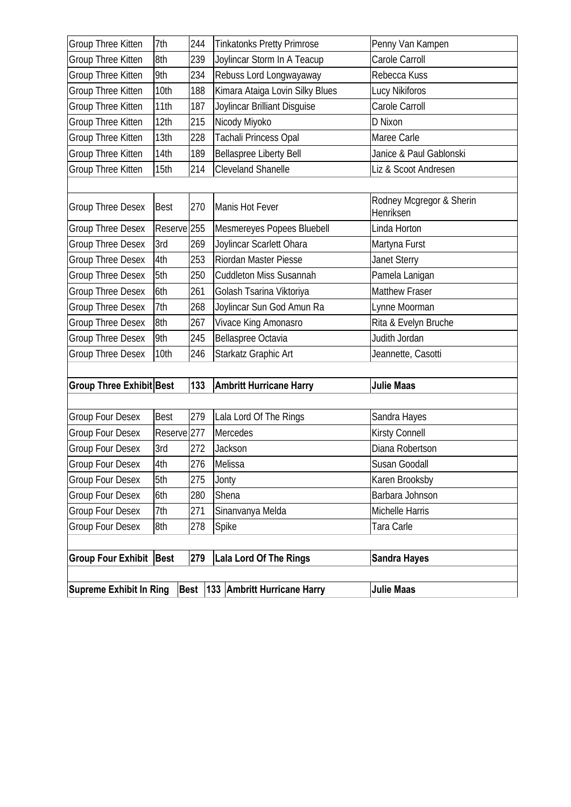| <b>Supreme Exhibit In Ring</b>              |                        |            | Best   133 Ambritt Hurricane Harry | <b>Julie Maas</b>                     |
|---------------------------------------------|------------------------|------------|------------------------------------|---------------------------------------|
|                                             |                        |            |                                    |                                       |
| Group Four Exhibit   Best                   |                        | 279        | Lala Lord Of The Rings             | <b>Sandra Hayes</b>                   |
|                                             |                        |            |                                    |                                       |
| <b>Group Four Desex</b><br>Group Four Desex | 7th<br>8th             | 278        | Sinanvanya Melda<br>Spike          | Tara Carle                            |
| <b>Group Four Desex</b>                     | 6th                    | 271        | Shena                              | Michelle Harris                       |
| <b>Group Four Desex</b>                     | 5th                    | 275<br>280 | Jonty                              | Karen Brooksby<br>Barbara Johnson     |
| Group Four Desex                            | 4th                    | 276        | Melissa                            | Susan Goodall                         |
| Group Four Desex                            | 3rd                    | 272        | Jackson                            | Diana Robertson                       |
| Group Four Desex                            | Reserve <sup>277</sup> |            | Mercedes                           | Kirsty Connell                        |
| <b>Group Four Desex</b>                     | <b>Best</b>            | 279        | Lala Lord Of The Rings             | Sandra Hayes                          |
|                                             |                        |            |                                    |                                       |
| <b>Group Three Exhibit Best</b>             |                        | 133        | <b>Ambritt Hurricane Harry</b>     | <b>Julie Maas</b>                     |
|                                             |                        |            |                                    |                                       |
| <b>Group Three Desex</b>                    | 10th                   | 246        | Starkatz Graphic Art               | Jeannette, Casotti                    |
| <b>Group Three Desex</b>                    | 9th                    | 245        | Bellaspree Octavia                 | Judith Jordan                         |
| <b>Group Three Desex</b>                    | 8th                    | 267        | Vivace King Amonasro               | Rita & Evelyn Bruche                  |
| <b>Group Three Desex</b>                    | 7th                    | 268        | Joylincar Sun God Amun Ra          | Lynne Moorman                         |
| <b>Group Three Desex</b>                    | 6th                    | 261        | Golash Tsarina Viktoriya           | <b>Matthew Fraser</b>                 |
| <b>Group Three Desex</b>                    | 5th                    | 250        | <b>Cuddleton Miss Susannah</b>     | Pamela Lanigan                        |
| <b>Group Three Desex</b>                    | 4th                    | 253        | Riordan Master Piesse              | <b>Janet Sterry</b>                   |
| <b>Group Three Desex</b>                    | 3rd                    | 269        | Joylincar Scarlett Ohara           | Martyna Furst                         |
| <b>Group Three Desex</b>                    | Reserve <sup>255</sup> |            | Mesmereyes Popees Bluebell         | Linda Horton                          |
| <b>Group Three Desex</b>                    | <b>Best</b>            | 270        | Manis Hot Fever                    | Rodney Mcgregor & Sherin<br>Henriksen |
|                                             |                        |            |                                    |                                       |
| Group Three Kitten                          | 15th                   | 214        | <b>Cleveland Shanelle</b>          | Liz & Scoot Andresen                  |
| Group Three Kitten                          | 14th                   | 189        | <b>Bellaspree Liberty Bell</b>     | Janice & Paul Gablonski               |
| Group Three Kitten                          | 13th                   | 228        | Tachali Princess Opal              | Maree Carle                           |
| Group Three Kitten                          | 12th                   | 215        | Nicody Miyoko                      | D Nixon                               |
| Group Three Kitten                          | 11th                   | 187        | Joylincar Brilliant Disguise       | Carole Carroll                        |
| Group Three Kitten                          | 10th                   | 188        | Kimara Ataiga Lovin Silky Blues    | Lucy Nikiforos                        |
| Group Three Kitten                          | 9th                    | 234        | Rebuss Lord Longwayaway            | Rebecca Kuss                          |
| Group Three Kitten                          | 8th                    | 239        | Joylincar Storm In A Teacup        | Carole Carroll                        |
| Group Three Kitten                          | 7th                    | 244        | <b>Tinkatonks Pretty Primrose</b>  | Penny Van Kampen                      |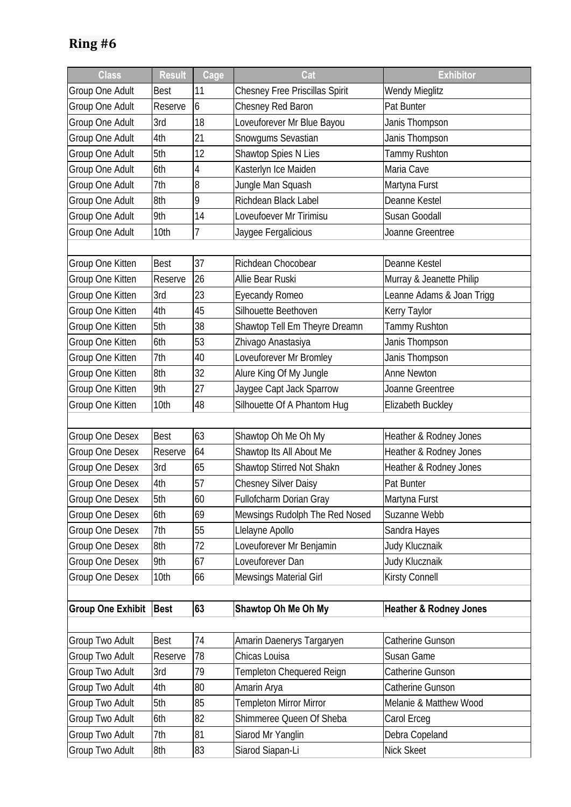| <b>Class</b>             | <b>Result</b> | Cage | Cat                                   | <b>Exhibitor</b>                  |
|--------------------------|---------------|------|---------------------------------------|-----------------------------------|
| Group One Adult          | <b>Best</b>   | 11   | <b>Chesney Free Priscillas Spirit</b> | <b>Wendy Mieglitz</b>             |
| Group One Adult          | Reserve       | 6    | Chesney Red Baron                     | Pat Bunter                        |
| Group One Adult          | 3rd           | 18   | Loveuforever Mr Blue Bayou            | Janis Thompson                    |
| Group One Adult          | 4th           | 21   | Snowgums Sevastian                    | Janis Thompson                    |
| Group One Adult          | 5th           | 12   | Shawtop Spies N Lies                  | <b>Tammy Rushton</b>              |
| Group One Adult          | 6th           | 4    | Kasterlyn Ice Maiden                  | Maria Cave                        |
| Group One Adult          | 7th           | 8    | Jungle Man Squash                     | Martyna Furst                     |
| Group One Adult          | 8th           | 9    | Richdean Black Label                  | Deanne Kestel                     |
| Group One Adult          | 9th           | 14   | Loveufoever Mr Tirimisu               | Susan Goodall                     |
| Group One Adult          | 10th          | 7    | Jaygee Fergalicious                   | Joanne Greentree                  |
|                          |               |      |                                       |                                   |
| Group One Kitten         | <b>Best</b>   | 37   | Richdean Chocobear                    | Deanne Kestel                     |
| Group One Kitten         | Reserve       | 26   | Allie Bear Ruski                      | Murray & Jeanette Philip          |
| Group One Kitten         | 3rd           | 23   | <b>Eyecandy Romeo</b>                 | Leanne Adams & Joan Trigg         |
| Group One Kitten         | 4th           | 45   | Silhouette Beethoven                  | Kerry Taylor                      |
| Group One Kitten         | 5th           | 38   | Shawtop Tell Em Theyre Dreamn         | Tammy Rushton                     |
| Group One Kitten         | 6th           | 53   | Zhivago Anastasiya                    | Janis Thompson                    |
| Group One Kitten         | 7th           | 40   | Loveuforever Mr Bromley               | Janis Thompson                    |
| Group One Kitten         | 8th           | 32   | Alure King Of My Jungle               | Anne Newton                       |
| Group One Kitten         | 9th           | 27   | Jaygee Capt Jack Sparrow              | Joanne Greentree                  |
| Group One Kitten         | 10th          | 48   | Silhouette Of A Phantom Hug           | Elizabeth Buckley                 |
|                          |               |      |                                       |                                   |
| Group One Desex          | <b>Best</b>   | 63   | Shawtop Oh Me Oh My                   | Heather & Rodney Jones            |
| Group One Desex          | Reserve       | 64   | Shawtop Its All About Me              | Heather & Rodney Jones            |
| Group One Desex          | 3rd           | 65   | Shawtop Stirred Not Shakn             | Heather & Rodney Jones            |
| Group One Desex          | 4th           | 57   | <b>Chesney Silver Daisy</b>           | Pat Bunter                        |
| Group One Desex          | 5th           | 60   | Fullofcharm Dorian Gray               | Martyna Furst                     |
| <b>Group One Desex</b>   | 6th           | 69   | Mewsings Rudolph The Red Nosed        | Suzanne Webb                      |
| Group One Desex          | 7th           | 55   | Llelayne Apollo                       | Sandra Hayes                      |
| Group One Desex          | 8th           | 72   | Loveuforever Mr Benjamin              | Judy Klucznaik                    |
| Group One Desex          | 9th           | 67   | Loveuforever Dan                      | Judy Klucznaik                    |
| Group One Desex          | 10th          | 66   | Mewsings Material Girl                | Kirsty Connell                    |
|                          |               |      |                                       |                                   |
| <b>Group One Exhibit</b> | <b>Best</b>   | 63   | Shawtop Oh Me Oh My                   | <b>Heather &amp; Rodney Jones</b> |
|                          |               |      |                                       |                                   |
| Group Two Adult          | <b>Best</b>   | 74   | Amarin Daenerys Targaryen             | Catherine Gunson                  |
| Group Two Adult          | Reserve       | 78   | Chicas Louisa                         | Susan Game                        |
| Group Two Adult          | 3rd           | 79   | Templeton Chequered Reign             | Catherine Gunson                  |
| <b>Group Two Adult</b>   | 4th           | 80   | Amarin Arya                           | Catherine Gunson                  |
| Group Two Adult          | 5th           | 85   | Templeton Mirror Mirror               | Melanie & Matthew Wood            |
| Group Two Adult          | 6th           | 82   | Shimmeree Queen Of Sheba              | Carol Erceg                       |
| <b>Group Two Adult</b>   | 7th           | 81   | Siarod Mr Yanglin                     | Debra Copeland                    |
| Group Two Adult          | 8th           | 83   | Siarod Siapan-Li                      | Nick Skeet                        |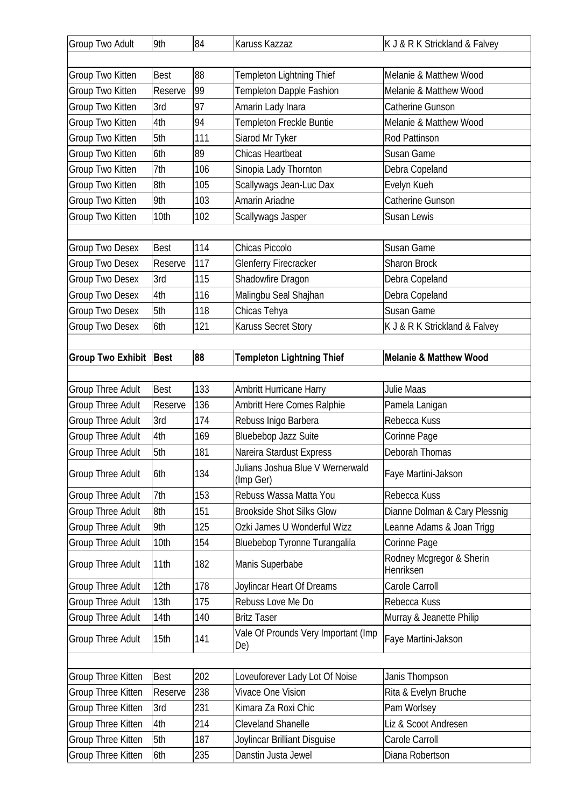| Group Two Adult          | 9th         | 84  | Karuss Kazzaz                                 | K J & R K Strickland & Falvey         |
|--------------------------|-------------|-----|-----------------------------------------------|---------------------------------------|
| Group Two Kitten         | <b>Best</b> | 88  | <b>Templeton Lightning Thief</b>              | Melanie & Matthew Wood                |
| Group Two Kitten         | Reserve     | 99  | <b>Templeton Dapple Fashion</b>               | Melanie & Matthew Wood                |
| Group Two Kitten         | 3rd         | 97  | Amarin Lady Inara                             | Catherine Gunson                      |
| Group Two Kitten         | 4th         | 94  | Templeton Freckle Buntie                      | Melanie & Matthew Wood                |
| Group Two Kitten         | 5th         | 111 | Siarod Mr Tyker                               | <b>Rod Pattinson</b>                  |
| Group Two Kitten         | 6th         | 89  | Chicas Heartbeat                              | Susan Game                            |
| Group Two Kitten         | 7th         | 106 | Sinopia Lady Thornton                         | Debra Copeland                        |
| Group Two Kitten         | 8th         | 105 | Scallywags Jean-Luc Dax                       | Evelyn Kueh                           |
| Group Two Kitten         | 9th         | 103 | Amarin Ariadne                                | Catherine Gunson                      |
| Group Two Kitten         | 10th        | 102 | Scallywags Jasper                             | Susan Lewis                           |
|                          |             |     |                                               |                                       |
| Group Two Desex          | <b>Best</b> | 114 | Chicas Piccolo                                | Susan Game                            |
| Group Two Desex          | Reserve     | 117 | <b>Glenferry Firecracker</b>                  | Sharon Brock                          |
| Group Two Desex          | 3rd         | 115 | Shadowfire Dragon                             | Debra Copeland                        |
| Group Two Desex          | 4th         | 116 | Malingbu Seal Shajhan                         | Debra Copeland                        |
| Group Two Desex          | 5th         | 118 | Chicas Tehya                                  | <b>Susan Game</b>                     |
| Group Two Desex          | 6th         | 121 | Karuss Secret Story                           | K J & R K Strickland & Falvey         |
| Group Two Exhibit   Best |             | 88  | <b>Templeton Lightning Thief</b>              | <b>Melanie &amp; Matthew Wood</b>     |
| Group Three Adult        | <b>Best</b> | 133 | Ambritt Hurricane Harry                       | Julie Maas                            |
| <b>Group Three Adult</b> | Reserve     | 136 | Ambritt Here Comes Ralphie                    | Pamela Lanigan                        |
| <b>Group Three Adult</b> | 3rd         | 174 | Rebuss Inigo Barbera                          | Rebecca Kuss                          |
| Group Three Adult        | 4th         | 169 | Bluebebop Jazz Suite                          | Corinne Page                          |
| Group Three Adult        | 5th         | 181 | Nareira Stardust Express                      | Deborah Thomas                        |
| <b>Group Three Adult</b> | 6th         | 134 | Julians Joshua Blue V Wernerwald<br>(Imp Ger) | Faye Martini-Jakson                   |
| <b>Group Three Adult</b> | 7th         | 153 | Rebuss Wassa Matta You                        | Rebecca Kuss                          |
| <b>Group Three Adult</b> | 8th         | 151 | <b>Brookside Shot Silks Glow</b>              | Dianne Dolman & Cary Plessnig         |
| <b>Group Three Adult</b> | 9th         | 125 | Ozki James U Wonderful Wizz                   | Leanne Adams & Joan Trigg             |
| Group Three Adult        | 10th        | 154 | Bluebebop Tyronne Turangalila                 | Corinne Page                          |
| <b>Group Three Adult</b> | 11th        | 182 | Manis Superbabe                               | Rodney Mcgregor & Sherin<br>Henriksen |
| <b>Group Three Adult</b> | 12th        | 178 | Joylincar Heart Of Dreams                     | Carole Carroll                        |
| <b>Group Three Adult</b> | 13th        | 175 | Rebuss Love Me Do                             | Rebecca Kuss                          |
| <b>Group Three Adult</b> | 14th        | 140 | <b>Britz Taser</b>                            | Murray & Jeanette Philip              |
| <b>Group Three Adult</b> | 15th        | 141 | Vale Of Prounds Very Important (Imp<br>De)    | Faye Martini-Jakson                   |
|                          |             |     |                                               |                                       |
| Group Three Kitten       | <b>Best</b> | 202 | Loveuforever Lady Lot Of Noise                | Janis Thompson                        |
| Group Three Kitten       | Reserve     | 238 | Vivace One Vision                             | Rita & Evelyn Bruche                  |
| Group Three Kitten       | 3rd         | 231 | Kimara Za Roxi Chic                           | Pam Worlsey                           |
| Group Three Kitten       | 4th         | 214 | Cleveland Shanelle                            | Liz & Scoot Andresen                  |
| Group Three Kitten       | 5th         | 187 | Joylincar Brilliant Disguise                  | Carole Carroll                        |
| Group Three Kitten       | 6th         | 235 | Danstin Justa Jewel                           | Diana Robertson                       |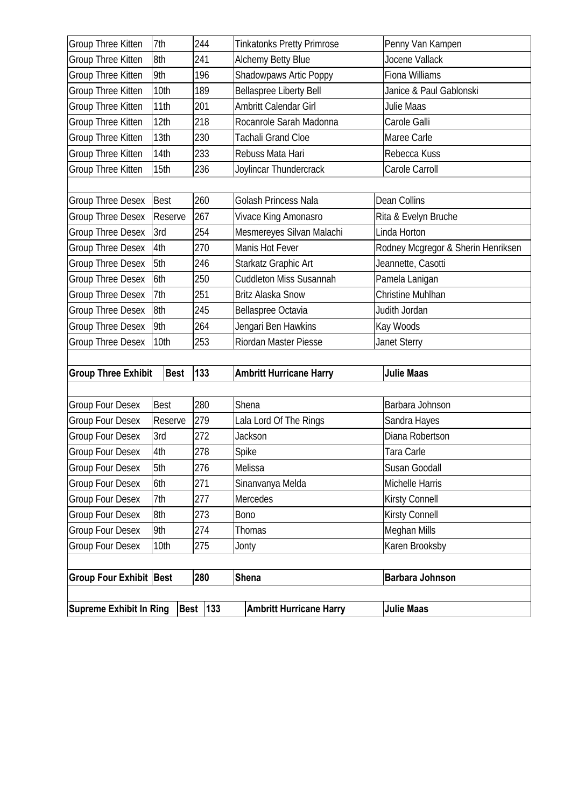| Group Three Kitten             | 7th         | 244             | <b>Tinkatonks Pretty Primrose</b> | Penny Van Kampen                   |
|--------------------------------|-------------|-----------------|-----------------------------------|------------------------------------|
| Group Three Kitten             | 8th         | 241             | Alchemy Betty Blue                | Jocene Vallack                     |
| Group Three Kitten             | 9th         | 196             | Shadowpaws Artic Poppy            | Fiona Williams                     |
| Group Three Kitten             | 10th        | 189             | <b>Bellaspree Liberty Bell</b>    | Janice & Paul Gablonski            |
| Group Three Kitten             | 11th        | 201             | Ambritt Calendar Girl             | Julie Maas                         |
| Group Three Kitten             | 12th        | 218             | Rocanrole Sarah Madonna           | Carole Galli                       |
| Group Three Kitten             | 13th        | 230             | <b>Tachali Grand Cloe</b>         | Maree Carle                        |
| Group Three Kitten             | 14th        | 233             | Rebuss Mata Hari                  | Rebecca Kuss                       |
| Group Three Kitten             | 15th        | 236             | Joylincar Thundercrack            | Carole Carroll                     |
|                                |             |                 |                                   |                                    |
| <b>Group Three Desex</b>       | <b>Best</b> | 260             | Golash Princess Nala              | Dean Collins                       |
| <b>Group Three Desex</b>       | Reserve     | 267             | Vivace King Amonasro              | Rita & Evelyn Bruche               |
| <b>Group Three Desex</b>       | 3rd         | 254             | Mesmereyes Silvan Malachi         | Linda Horton                       |
| <b>Group Three Desex</b>       | 4th         | 270             | Manis Hot Fever                   | Rodney Mcgregor & Sherin Henriksen |
| <b>Group Three Desex</b>       | 5th         | 246             | Starkatz Graphic Art              | Jeannette, Casotti                 |
| <b>Group Three Desex</b>       | 6th         | 250             | <b>Cuddleton Miss Susannah</b>    | Pamela Lanigan                     |
| <b>Group Three Desex</b>       | 7th         | 251             | <b>Britz Alaska Snow</b>          | Christine Muhlhan                  |
| <b>Group Three Desex</b>       | 8th         | 245             | Bellaspree Octavia                | Judith Jordan                      |
| <b>Group Three Desex</b>       | 9th         | 264             | Jengari Ben Hawkins               | Kay Woods                          |
| <b>Group Three Desex</b>       | 10th        | 253             | Riordan Master Piesse             | Janet Sterry                       |
|                                |             |                 |                                   |                                    |
| <b>Group Three Exhibit</b>     | <b>Best</b> | 133             | <b>Ambritt Hurricane Harry</b>    | <b>Julie Maas</b>                  |
|                                |             |                 |                                   |                                    |
| <b>Group Four Desex</b>        | <b>Best</b> | 280             | Shena                             | Barbara Johnson                    |
| <b>Group Four Desex</b>        | Reserve     | 279             | Lala Lord Of The Rings            | Sandra Hayes                       |
| <b>Group Four Desex</b>        | 3rd         | 272             | Jackson                           | Diana Robertson                    |
| Group Four Desex               | 4th         | 278             | Spike                             | Tara Carle                         |
| Group Four Desex               | 5th         | 276             | Melissa                           | Susan Goodall                      |
| <b>Group Four Desex</b>        | 6th         | 271             | Sinanvanya Melda                  | Michelle Harris                    |
| <b>Group Four Desex</b>        | 7th         | 277             | Mercedes                          | Kirsty Connell                     |
| <b>Group Four Desex</b>        | 8th         | 273             | Bono                              | Kirsty Connell                     |
| <b>Group Four Desex</b>        | 9th         | 274             | Thomas                            | <b>Meghan Mills</b>                |
| <b>Group Four Desex</b>        | 10th        | 275             | Jonty                             | Karen Brooksby                     |
|                                |             |                 |                                   |                                    |
| <b>Group Four Exhibit Best</b> |             | 280             | <b>Shena</b>                      | <b>Barbara Johnson</b>             |
|                                |             |                 |                                   |                                    |
| <b>Supreme Exhibit In Ring</b> |             | <b>Best 133</b> | <b>Ambritt Hurricane Harry</b>    | <b>Julie Maas</b>                  |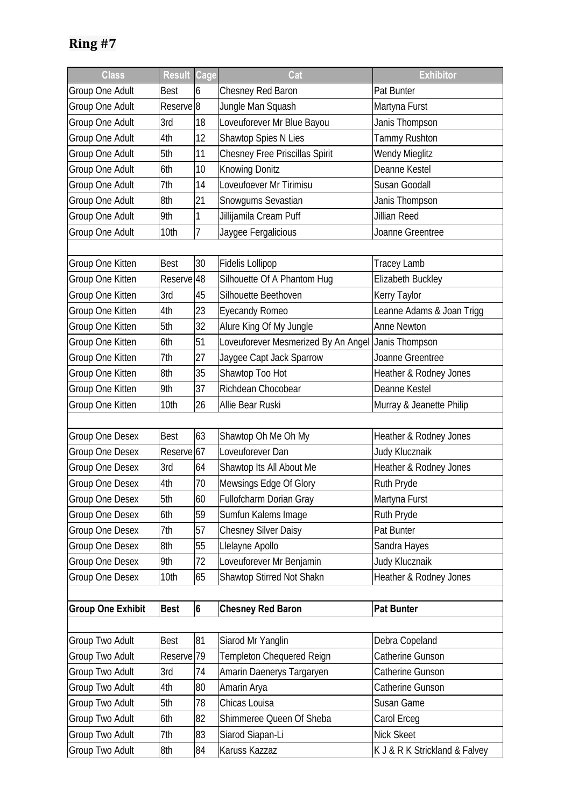| <b>Class</b>             | <b>Result Cage</b>    |                | Cat                                                | <b>Exhibitor</b>              |
|--------------------------|-----------------------|----------------|----------------------------------------------------|-------------------------------|
| Group One Adult          | <b>Best</b>           | 6              | Chesney Red Baron                                  | Pat Bunter                    |
| Group One Adult          | Reserve <sup>8</sup>  |                | Jungle Man Squash                                  | Martyna Furst                 |
| Group One Adult          | 3rd                   | 18             | Loveuforever Mr Blue Bayou                         | Janis Thompson                |
| Group One Adult          | 4th                   | 12             | Shawtop Spies N Lies                               | Tammy Rushton                 |
| Group One Adult          | 5th                   | 11             | <b>Chesney Free Priscillas Spirit</b>              | Wendy Mieglitz                |
| Group One Adult          | 6th                   | 10             | <b>Knowing Donitz</b>                              | Deanne Kestel                 |
| Group One Adult          | 7th                   | 14             | Loveufoever Mr Tirimisu                            | Susan Goodall                 |
| Group One Adult          | 8th                   | 21             | Snowgums Sevastian                                 | Janis Thompson                |
| Group One Adult          | 9th                   | 1              | Jillijamila Cream Puff                             | Jillian Reed                  |
| Group One Adult          | 10th                  | 7              | Jaygee Fergalicious                                | Joanne Greentree              |
|                          |                       |                |                                                    |                               |
| Group One Kitten         | Best                  | 30             | <b>Fidelis Lollipop</b>                            | Tracey Lamb                   |
| Group One Kitten         | Reserve <sup>18</sup> |                | Silhouette Of A Phantom Hug                        | Elizabeth Buckley             |
| Group One Kitten         | 3rd                   | 45             | Silhouette Beethoven                               | Kerry Taylor                  |
| Group One Kitten         | 4th                   | 23             | Eyecandy Romeo                                     | Leanne Adams & Joan Trigg     |
| Group One Kitten         | 5th                   | 32             | Alure King Of My Jungle                            | Anne Newton                   |
| Group One Kitten         | 6th                   | 51             | Loveuforever Mesmerized By An Angel Janis Thompson |                               |
| Group One Kitten         | 7th                   | 27             | Jaygee Capt Jack Sparrow                           | Joanne Greentree              |
| Group One Kitten         | 8th                   | 35             | Shawtop Too Hot                                    | Heather & Rodney Jones        |
| Group One Kitten         | 9th                   | 37             | Richdean Chocobear                                 | Deanne Kestel                 |
| Group One Kitten         | 10th                  | 26             | Allie Bear Ruski                                   | Murray & Jeanette Philip      |
|                          |                       |                |                                                    |                               |
| Group One Desex          | <b>Best</b>           | 63             | Shawtop Oh Me Oh My                                | Heather & Rodney Jones        |
| Group One Desex          | Reserve 67            |                | Loveuforever Dan                                   | Judy Klucznaik                |
| Group One Desex          | 3rd                   | 64             | Shawtop Its All About Me                           | Heather & Rodney Jones        |
| Group One Desex          | 4th                   | 70             | Mewsings Edge Of Glory                             | Ruth Pryde                    |
| Group One Desex          | 5th                   | 60             | Fullofcharm Dorian Gray                            | Martyna Furst                 |
| Group One Desex          | 6th                   | 59             | Sumfun Kalems Image                                | Ruth Pryde                    |
| Group One Desex          | 7th                   | 57             | <b>Chesney Silver Daisy</b>                        | Pat Bunter                    |
| Group One Desex          | 8th                   | 55             | Llelayne Apollo                                    | Sandra Hayes                  |
| Group One Desex          | 9th                   | 72             | Loveuforever Mr Benjamin                           | Judy Klucznaik                |
| Group One Desex          | 10th                  | 65             | Shawtop Stirred Not Shakn                          | Heather & Rodney Jones        |
|                          |                       |                |                                                    |                               |
| <b>Group One Exhibit</b> | <b>Best</b>           | $6\phantom{a}$ | <b>Chesney Red Baron</b>                           | <b>Pat Bunter</b>             |
|                          |                       |                |                                                    |                               |
| Group Two Adult          | <b>Best</b>           | 81             | Siarod Mr Yanglin                                  | Debra Copeland                |
| Group Two Adult          | Reserve <sup>19</sup> |                | Templeton Chequered Reign                          | Catherine Gunson              |
| Group Two Adult          | 3rd                   | 74             | Amarin Daenerys Targaryen                          | Catherine Gunson              |
| Group Two Adult          | 4th                   | 80             | Amarin Arya                                        | Catherine Gunson              |
| Group Two Adult          | 5th                   | 78             | Chicas Louisa                                      | Susan Game                    |
| Group Two Adult          | 6th                   | 82             | Shimmeree Queen Of Sheba                           | Carol Erceg                   |
| Group Two Adult          | 7th                   | 83             | Siarod Siapan-Li                                   | Nick Skeet                    |
| Group Two Adult          | 8th                   | 84             | Karuss Kazzaz                                      | K J & R K Strickland & Falvey |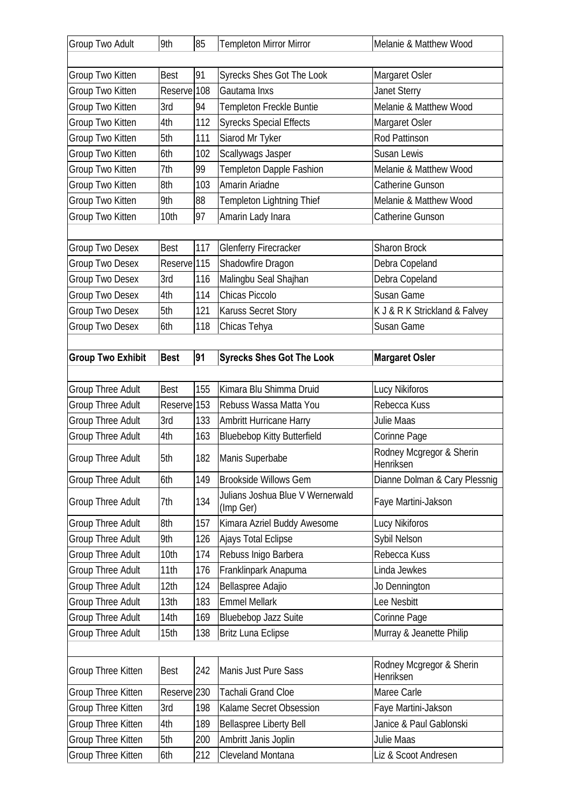| Group Two Adult          | 9th                    | 85  | <b>Templeton Mirror Mirror</b>                | Melanie & Matthew Wood                |
|--------------------------|------------------------|-----|-----------------------------------------------|---------------------------------------|
| Group Two Kitten         | <b>Best</b>            | 91  | <b>Syrecks Shes Got The Look</b>              | Margaret Osler                        |
| Group Two Kitten         | Reserve <sup>108</sup> |     | Gautama Inxs                                  | <b>Janet Sterry</b>                   |
| Group Two Kitten         | 3rd                    | 94  | Templeton Freckle Buntie                      | Melanie & Matthew Wood                |
| Group Two Kitten         | 4th                    | 112 | <b>Syrecks Special Effects</b>                | Margaret Osler                        |
| Group Two Kitten         | 5th                    | 111 | Siarod Mr Tyker                               | Rod Pattinson                         |
| Group Two Kitten         | 6th                    | 102 | Scallywags Jasper                             | <b>Susan Lewis</b>                    |
| Group Two Kitten         | 7th                    | 99  | Templeton Dapple Fashion                      | Melanie & Matthew Wood                |
| Group Two Kitten         | 8th                    | 103 | Amarin Ariadne                                | Catherine Gunson                      |
| Group Two Kitten         | 9th                    | 88  | Templeton Lightning Thief                     | Melanie & Matthew Wood                |
| Group Two Kitten         | 10th                   | 97  | Amarin Lady Inara                             | Catherine Gunson                      |
|                          |                        |     |                                               |                                       |
| Group Two Desex          | <b>Best</b>            | 117 | <b>Glenferry Firecracker</b>                  | <b>Sharon Brock</b>                   |
| Group Two Desex          | Reserve <sup>115</sup> |     | Shadowfire Dragon                             | Debra Copeland                        |
| Group Two Desex          | 3rd                    | 116 | Malingbu Seal Shajhan                         | Debra Copeland                        |
| Group Two Desex          | 4th                    | 114 | Chicas Piccolo                                | Susan Game                            |
| Group Two Desex          | 5th                    | 121 | <b>Karuss Secret Story</b>                    | K J & R K Strickland & Falvey         |
| Group Two Desex          | 6th                    | 118 | Chicas Tehya                                  | Susan Game                            |
|                          |                        |     |                                               |                                       |
| <b>Group Two Exhibit</b> | <b>Best</b>            | 91  | <b>Syrecks Shes Got The Look</b>              | <b>Margaret Osler</b>                 |
|                          |                        |     |                                               |                                       |
| Group Three Adult        | <b>Best</b>            | 155 | Kimara Blu Shimma Druid                       | Lucy Nikiforos                        |
| Group Three Adult        | Reserve <sup>153</sup> |     | Rebuss Wassa Matta You                        | Rebecca Kuss                          |
| <b>Group Three Adult</b> | 3rd                    | 133 | Ambritt Hurricane Harry                       | <b>Julie Maas</b>                     |
| <b>Group Three Adult</b> | 4th                    | 163 | <b>Bluebebop Kitty Butterfield</b>            | Corinne Page                          |
| <b>Group Three Adult</b> | 5th                    | 182 | Manis Superbabe                               | Rodney Mcgregor & Sherin<br>Henriksen |
| <b>Group Three Adult</b> | 6th                    | 149 | <b>Brookside Willows Gem</b>                  | Dianne Dolman & Cary Plessnig         |
| <b>Group Three Adult</b> | 7th                    | 134 | Julians Joshua Blue V Wernerwald<br>(Imp Ger) | Faye Martini-Jakson                   |
| Group Three Adult        | 8th                    | 157 | Kimara Azriel Buddy Awesome                   | Lucy Nikiforos                        |
| <b>Group Three Adult</b> | 9th                    | 126 | Ajays Total Eclipse                           | Sybil Nelson                          |
| <b>Group Three Adult</b> | 10th                   | 174 | Rebuss Inigo Barbera                          | Rebecca Kuss                          |
| <b>Group Three Adult</b> | 11th                   | 176 | Franklinpark Anapuma                          | Linda Jewkes                          |
| <b>Group Three Adult</b> | 12th                   | 124 | Bellaspree Adajio                             | Jo Dennington                         |
| <b>Group Three Adult</b> | 13th                   | 183 | <b>Emmel Mellark</b>                          | Lee Nesbitt                           |
| <b>Group Three Adult</b> | 14th                   | 169 | Bluebebop Jazz Suite                          | Corinne Page                          |
| <b>Group Three Adult</b> | 15th                   | 138 | <b>Britz Luna Eclipse</b>                     | Murray & Jeanette Philip              |
|                          |                        |     |                                               |                                       |
| Group Three Kitten       | Best                   | 242 | Manis Just Pure Sass                          | Rodney Mcgregor & Sherin<br>Henriksen |
| Group Three Kitten       | Reserve <sub>230</sub> |     | Tachali Grand Cloe                            | Maree Carle                           |
| Group Three Kitten       | 3rd                    | 198 | Kalame Secret Obsession                       | Faye Martini-Jakson                   |
| Group Three Kitten       | 4th                    | 189 | <b>Bellaspree Liberty Bell</b>                | Janice & Paul Gablonski               |
|                          |                        |     |                                               |                                       |
| Group Three Kitten       | 5th                    | 200 | Ambritt Janis Joplin                          | Julie Maas                            |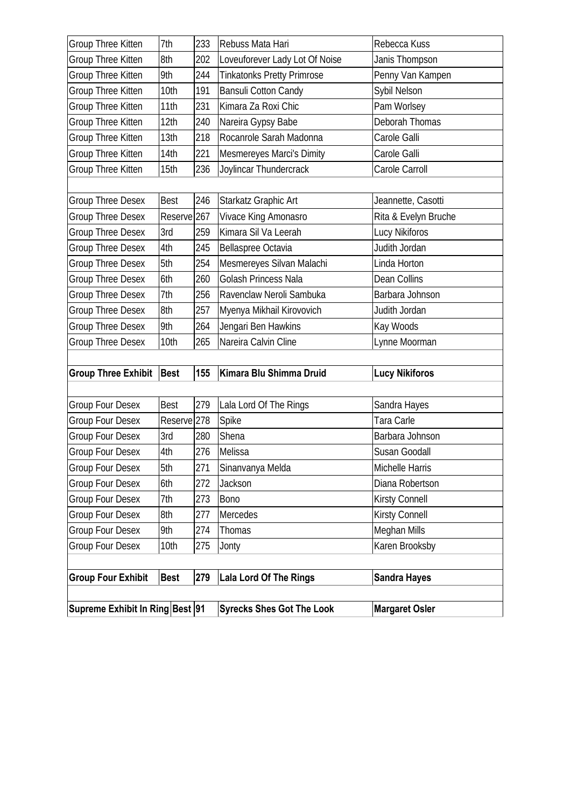| Supreme Exhibit In Ring Best 91 |                        |     | <b>Syrecks Shes Got The Look</b>             | <b>Margaret Osler</b> |
|---------------------------------|------------------------|-----|----------------------------------------------|-----------------------|
|                                 |                        |     |                                              |                       |
| <b>Group Four Exhibit</b>       | <b>Best</b>            | 279 | <b>Lala Lord Of The Rings</b>                | <b>Sandra Hayes</b>   |
| <b>Group Four Desex</b>         | 10th                   | 275 | Jonty                                        | Karen Brooksby        |
| <b>Group Four Desex</b>         | 9th                    | 274 | Thomas                                       | Meghan Mills          |
| Group Four Desex                | 8th                    | 277 | Mercedes                                     | Kirsty Connell        |
| Group Four Desex                | 7th                    | 273 | <b>Bono</b>                                  | <b>Kirsty Connell</b> |
| <b>Group Four Desex</b>         | 6th                    | 272 | Jackson                                      | Diana Robertson       |
| <b>Group Four Desex</b>         | 5th                    | 271 | Sinanvanya Melda                             | Michelle Harris       |
| <b>Group Four Desex</b>         | 4th                    | 276 | Melissa                                      | Susan Goodall         |
| <b>Group Four Desex</b>         | 3rd                    | 280 | Shena                                        | Barbara Johnson       |
| <b>Group Four Desex</b>         | Reserve <sup>278</sup> |     | Spike                                        | Tara Carle            |
| <b>Group Four Desex</b>         | <b>Best</b>            | 279 | Lala Lord Of The Rings                       | Sandra Hayes          |
|                                 |                        |     |                                              |                       |
| <b>Group Three Exhibit</b>      | <b>Best</b>            | 155 | Kimara Blu Shimma Druid                      | <b>Lucy Nikiforos</b> |
|                                 |                        |     |                                              |                       |
| <b>Group Three Desex</b>        | 10th                   | 265 | Nareira Calvin Cline                         | Lynne Moorman         |
| <b>Group Three Desex</b>        | 9th                    | 264 | Jengari Ben Hawkins                          | Kay Woods             |
| <b>Group Three Desex</b>        | 8th                    | 257 | Myenya Mikhail Kirovovich                    | Judith Jordan         |
| <b>Group Three Desex</b>        | 7th                    | 256 | Ravenclaw Neroli Sambuka                     | Barbara Johnson       |
| <b>Group Three Desex</b>        | 6th                    | 260 | Golash Princess Nala                         | Dean Collins          |
| <b>Group Three Desex</b>        | 5th                    | 254 | Mesmereyes Silvan Malachi                    | Linda Horton          |
| <b>Group Three Desex</b>        | 4th                    | 245 | Bellaspree Octavia                           | Judith Jordan         |
| <b>Group Three Desex</b>        | 3rd                    | 259 | Kimara Sil Va Leerah                         | Lucy Nikiforos        |
| <b>Group Three Desex</b>        | Reserve <sub>267</sub> |     | Starkatz Graphic Art<br>Vivace King Amonasro | Rita & Evelyn Bruche  |
| <b>Group Three Desex</b>        | <b>Best</b>            | 246 |                                              | Jeannette, Casotti    |
| Group Three Kitten              | 15th                   | 236 | Joylincar Thundercrack                       | Carole Carroll        |
| Group Three Kitten              | 14th                   | 221 | Mesmereyes Marci's Dimity                    | Carole Galli          |
| Group Three Kitten              | 13th                   | 218 | Rocanrole Sarah Madonna                      | Carole Galli          |
| Group Three Kitten              | 12th                   | 240 | Nareira Gypsy Babe                           | Deborah Thomas        |
| Group Three Kitten              | 11th                   | 231 | Kimara Za Roxi Chic                          | Pam Worlsey           |
| Group Three Kitten              | 10th                   | 191 | <b>Bansuli Cotton Candy</b>                  | Sybil Nelson          |
| Group Three Kitten              | 9th                    | 244 | <b>Tinkatonks Pretty Primrose</b>            | Penny Van Kampen      |
| Group Three Kitten              | 8th                    | 202 | Loveuforever Lady Lot Of Noise               | Janis Thompson        |
| Group Three Kitten              | 7th                    | 233 | Rebuss Mata Hari                             | Rebecca Kuss          |
|                                 |                        |     |                                              |                       |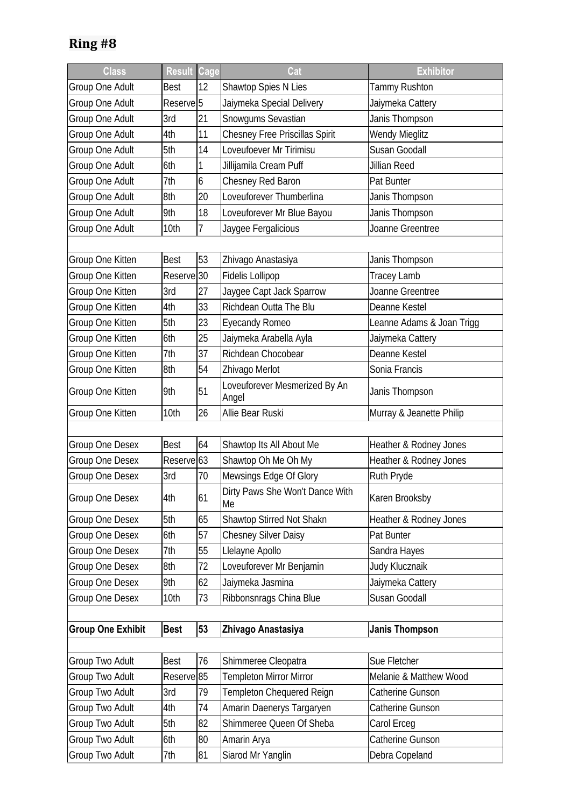| <b>Class</b>             | <b>Result</b>         | Cage | Cat                                    | <b>Exhibitor</b>          |
|--------------------------|-----------------------|------|----------------------------------------|---------------------------|
| Group One Adult          | Best                  | 12   | Shawtop Spies N Lies                   | Tammy Rushton             |
| Group One Adult          | Reserve <sup>5</sup>  |      | Jaiymeka Special Delivery              | Jaiymeka Cattery          |
| Group One Adult          | 3rd                   | 21   | Snowgums Sevastian                     | Janis Thompson            |
| Group One Adult          | 4th                   | 11   | <b>Chesney Free Priscillas Spirit</b>  | Wendy Mieglitz            |
| Group One Adult          | 5th                   | 14   | Loveufoever Mr Tirimisu                | Susan Goodall             |
| Group One Adult          | 6th                   | 1    | Jillijamila Cream Puff                 | Jillian Reed              |
| Group One Adult          | 7th                   | 6    | Chesney Red Baron                      | Pat Bunter                |
| Group One Adult          | 8th                   | 20   | Loveuforever Thumberlina               | Janis Thompson            |
| Group One Adult          | 9th                   | 18   | Loveuforever Mr Blue Bayou             | Janis Thompson            |
| Group One Adult          | 10th                  | 7    | Jaygee Fergalicious                    | Joanne Greentree          |
|                          |                       |      |                                        |                           |
| Group One Kitten         | <b>Best</b>           | 53   | Zhivago Anastasiya                     | Janis Thompson            |
| Group One Kitten         | Reserve <sup>30</sup> |      | <b>Fidelis Lollipop</b>                | <b>Tracey Lamb</b>        |
| Group One Kitten         | 3rd                   | 27   | Jaygee Capt Jack Sparrow               | Joanne Greentree          |
| Group One Kitten         | 4th                   | 33   | Richdean Outta The Blu                 | Deanne Kestel             |
| Group One Kitten         | 5th                   | 23   | <b>Eyecandy Romeo</b>                  | Leanne Adams & Joan Trigg |
| Group One Kitten         | 6th                   | 25   | Jaiymeka Arabella Ayla                 | Jaiymeka Cattery          |
| Group One Kitten         | 7th                   | 37   | Richdean Chocobear                     | Deanne Kestel             |
| Group One Kitten         | 8th                   | 54   | Zhivago Merlot                         | Sonia Francis             |
| Group One Kitten         | 9th                   | 51   | Loveuforever Mesmerized By An<br>Angel | Janis Thompson            |
| Group One Kitten         | 10th                  | 26   | Allie Bear Ruski                       | Murray & Jeanette Philip  |
|                          |                       |      |                                        |                           |
| Group One Desex          | <b>Best</b>           | 64   | Shawtop Its All About Me               | Heather & Rodney Jones    |
| Group One Desex          | Reserve <sub>63</sub> |      | Shawtop Oh Me Oh My                    | Heather & Rodney Jones    |
| Group One Desex          | 3rd                   | 70   | Mewsings Edge Of Glory                 | Ruth Pryde                |
| Group One Desex          | 4th                   | 61   | Dirty Paws She Won't Dance With<br>Me  | Karen Brooksby            |
| Group One Desex          | 5th                   | 65   | <b>Shawtop Stirred Not Shakn</b>       | Heather & Rodney Jones    |
| <b>Group One Desex</b>   | 6th                   | 57   | <b>Chesney Silver Daisy</b>            | Pat Bunter                |
| Group One Desex          | 7th                   | 55   | Llelayne Apollo                        | Sandra Hayes              |
| Group One Desex          | 8th                   | 72   | Loveuforever Mr Benjamin               | Judy Klucznaik            |
| Group One Desex          | 9th                   | 62   | Jaiymeka Jasmina                       | Jaiymeka Cattery          |
| Group One Desex          | 10th                  | 73   | Ribbonsnrags China Blue                | Susan Goodall             |
|                          |                       |      |                                        |                           |
| <b>Group One Exhibit</b> | <b>Best</b>           | 53   | Zhivago Anastasiya                     | <b>Janis Thompson</b>     |
|                          |                       |      |                                        |                           |
| Group Two Adult          | <b>Best</b>           | 76   | Shimmeree Cleopatra                    | Sue Fletcher              |
| Group Two Adult          | Reserve <sup>85</sup> |      | Templeton Mirror Mirror                | Melanie & Matthew Wood    |
| Group Two Adult          | 3rd                   | 79   | Templeton Chequered Reign              | Catherine Gunson          |
| Group Two Adult          | 4th                   | 74   | Amarin Daenerys Targaryen              | Catherine Gunson          |
| Group Two Adult          | 5th                   | 82   | Shimmeree Queen Of Sheba               | Carol Erceg               |
| Group Two Adult          | 6th                   | 80   | Amarin Arya                            | Catherine Gunson          |
| Group Two Adult          | 7th                   | 81   | Siarod Mr Yanglin                      | Debra Copeland            |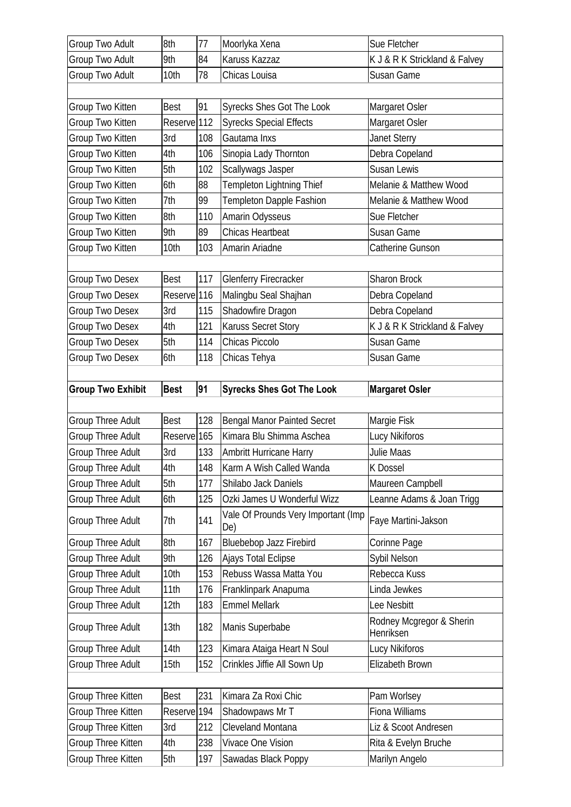| Group Two Adult          | 8th                    | 77  | Moorlyka Xena                       | Sue Fletcher                          |
|--------------------------|------------------------|-----|-------------------------------------|---------------------------------------|
| <b>Group Two Adult</b>   | 9th                    | 84  | Karuss Kazzaz                       | K J & R K Strickland & Falvey         |
| Group Two Adult          | 10th                   | 78  | Chicas Louisa                       | Susan Game                            |
|                          |                        |     |                                     |                                       |
| Group Two Kitten         | <b>Best</b>            | 91  | <b>Syrecks Shes Got The Look</b>    | Margaret Osler                        |
| Group Two Kitten         | Reserve <sup>112</sup> |     | <b>Syrecks Special Effects</b>      | Margaret Osler                        |
| Group Two Kitten         | 3rd                    | 108 | Gautama Inxs                        | <b>Janet Sterry</b>                   |
| Group Two Kitten         | 4th                    | 106 | Sinopia Lady Thornton               | Debra Copeland                        |
| Group Two Kitten         | 5th                    | 102 | Scallywags Jasper                   | Susan Lewis                           |
| Group Two Kitten         | 6th                    | 88  | Templeton Lightning Thief           | Melanie & Matthew Wood                |
| Group Two Kitten         | 7th                    | 99  | Templeton Dapple Fashion            | Melanie & Matthew Wood                |
| Group Two Kitten         | 8th                    | 110 | Amarin Odysseus                     | Sue Fletcher                          |
| Group Two Kitten         | 9th                    | 89  | Chicas Heartbeat                    | Susan Game                            |
| Group Two Kitten         | 10th                   | 103 | Amarin Ariadne                      | Catherine Gunson                      |
|                          |                        |     |                                     |                                       |
| Group Two Desex          | <b>Best</b>            | 117 | <b>Glenferry Firecracker</b>        | <b>Sharon Brock</b>                   |
| Group Two Desex          | Reserve <sup>116</sup> |     | Malingbu Seal Shajhan               | Debra Copeland                        |
| Group Two Desex          | 3rd                    | 115 | Shadowfire Dragon                   | Debra Copeland                        |
| Group Two Desex          | 4th                    | 121 | <b>Karuss Secret Story</b>          | K J & R K Strickland & Falvey         |
| Group Two Desex          | 5th                    | 114 | Chicas Piccolo                      | Susan Game                            |
| Group Two Desex          | 6th                    | 118 | Chicas Tehya                        | Susan Game                            |
|                          |                        |     |                                     |                                       |
| <b>Group Two Exhibit</b> | <b>Best</b>            | 91  | <b>Syrecks Shes Got The Look</b>    | <b>Margaret Osler</b>                 |
|                          |                        |     |                                     |                                       |
|                          |                        |     |                                     |                                       |
| <b>Group Three Adult</b> | <b>Best</b>            | 128 | <b>Bengal Manor Painted Secret</b>  | Margie Fisk                           |
| <b>Group Three Adult</b> | Reserve 165            |     | Kimara Blu Shimma Aschea            | Lucy Nikiforos                        |
| Group Three Adult        | 3rd                    | 133 | Ambritt Hurricane Harry             | Julie Maas                            |
| Group Three Adult        | 4th                    | 148 | Karm A Wish Called Wanda            | K Dossel                              |
| <b>Group Three Adult</b> | 5th                    | 177 | Shilabo Jack Daniels                | Maureen Campbell                      |
| <b>Group Three Adult</b> | 6th                    | 125 | Ozki James U Wonderful Wizz         | Leanne Adams & Joan Trigg             |
| <b>Group Three Adult</b> | 7th                    | 141 | Vale Of Prounds Very Important (Imp | Faye Martini-Jakson                   |
|                          |                        |     | De)                                 |                                       |
| <b>Group Three Adult</b> | 8th                    | 167 | <b>Bluebebop Jazz Firebird</b>      | Corinne Page                          |
| Group Three Adult        | 9th                    | 126 | Ajays Total Eclipse                 | Sybil Nelson                          |
| Group Three Adult        | 10th                   | 153 | Rebuss Wassa Matta You              | Rebecca Kuss                          |
| Group Three Adult        | 11th                   | 176 | Franklinpark Anapuma                | Linda Jewkes                          |
| Group Three Adult        | 12th                   | 183 | <b>Emmel Mellark</b>                | Lee Nesbitt                           |
| <b>Group Three Adult</b> | 13th                   | 182 | Manis Superbabe                     | Rodney Mcgregor & Sherin<br>Henriksen |
| <b>Group Three Adult</b> | 14th                   | 123 | Kimara Ataiga Heart N Soul          | Lucy Nikiforos                        |
| Group Three Adult        | 15th                   | 152 | Crinkles Jiffie All Sown Up         | Elizabeth Brown                       |
|                          |                        |     |                                     |                                       |
| Group Three Kitten       | <b>Best</b>            | 231 | Kimara Za Roxi Chic                 | Pam Worlsey                           |
| Group Three Kitten       | Reserve <sup>194</sup> |     | Shadowpaws Mr T                     | Fiona Williams                        |
| Group Three Kitten       | 3rd                    | 212 | Cleveland Montana                   | Liz & Scoot Andresen                  |
| Group Three Kitten       | 4th                    | 238 | Vivace One Vision                   | Rita & Evelyn Bruche                  |